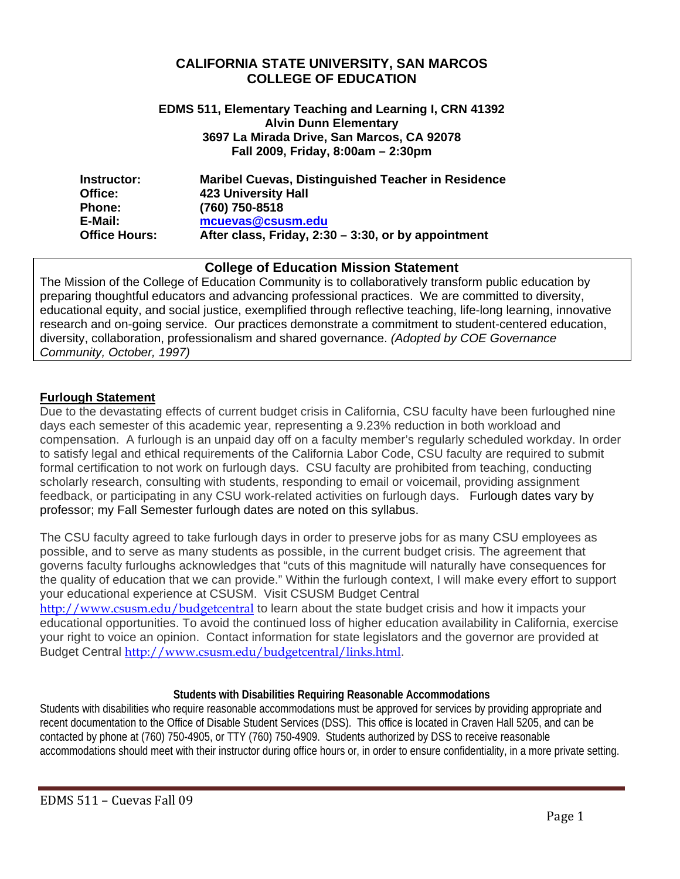#### **CALIFORNIA STATE UNIVERSITY, SAN MARCOS COLLEGE OF EDUCATION**

#### **EDMS 511, Elementary Teaching and Learning I, CRN 41392 Alvin Dunn Elementary 3697 La Mirada Drive, San Marcos, CA 92078 Fall 2009, Friday, 8:00am – 2:30pm**

| Instructor:          | <b>Maribel Cuevas, Distinguished Teacher in Residence</b> |
|----------------------|-----------------------------------------------------------|
| Office:              | <b>423 University Hall</b>                                |
| <b>Phone:</b>        | (760) 750-8518                                            |
| E-Mail:              | mcuevas@csusm.edu                                         |
| <b>Office Hours:</b> | After class, Friday, 2:30 - 3:30, or by appointment       |

### **College of Education Mission Statement**

The Mission of the College of Education Community is to collaboratively transform public education by preparing thoughtful educators and advancing professional practices. We are committed to diversity, educational equity, and social justice, exemplified through reflective teaching, life-long learning, innovative research and on-going service. Our practices demonstrate a commitment to student-centered education, diversity, collaboration, professionalism and shared governance. *(Adopted by COE Governance Community, October, 1997)* 

#### **Furlough Statement**

Due to the devastating effects of current budget crisis in California, CSU faculty have been furloughed nine days each semester of this academic year, representing a 9.23% reduction in both workload and compensation. A furlough is an unpaid day off on a faculty member's regularly scheduled workday. In order to satisfy legal and ethical requirements of the California Labor Code, CSU faculty are required to submit formal certification to not work on furlough days. CSU faculty are prohibited from teaching, conducting scholarly research, consulting with students, responding to email or voicemail, providing assignment feedback, or participating in any CSU work-related activities on furlough days. Furlough dates vary by professor; my Fall Semester furlough dates are noted on this syllabus.

The CSU faculty agreed to take furlough days in order to preserve jobs for as many CSU employees as possible, and to serve as many students as possible, in the current budget crisis. The agreement that governs faculty furloughs acknowledges that "cuts of this magnitude will naturally have consequences for the quality of education that we can provide." Within the furlough context, I will make every effort to support your educational experience at CSUSM. Visit CSUSM Budget Central

http://www.csusm.edu/budgetcentral to learn about the state budget crisis and how it impacts your educational opportunities. To avoid the continued loss of higher education availability in California, exercise your right to voice an opinion. Contact information for state legislators and the governor are provided at Budget Central http://www.csusm.edu/budgetcentral/links.html.

#### **Students with Disabilities Requiring Reasonable Accommodations**

Students with disabilities who require reasonable accommodations must be approved for services by providing appropriate and recent documentation to the Office of Disable Student Services (DSS). This office is located in Craven Hall 5205, and can be contacted by phone at (760) 750-4905, or TTY (760) 750-4909. Students authorized by DSS to receive reasonable accommodations should meet with their instructor during office hours or, in order to ensure confidentiality, in a more private setting.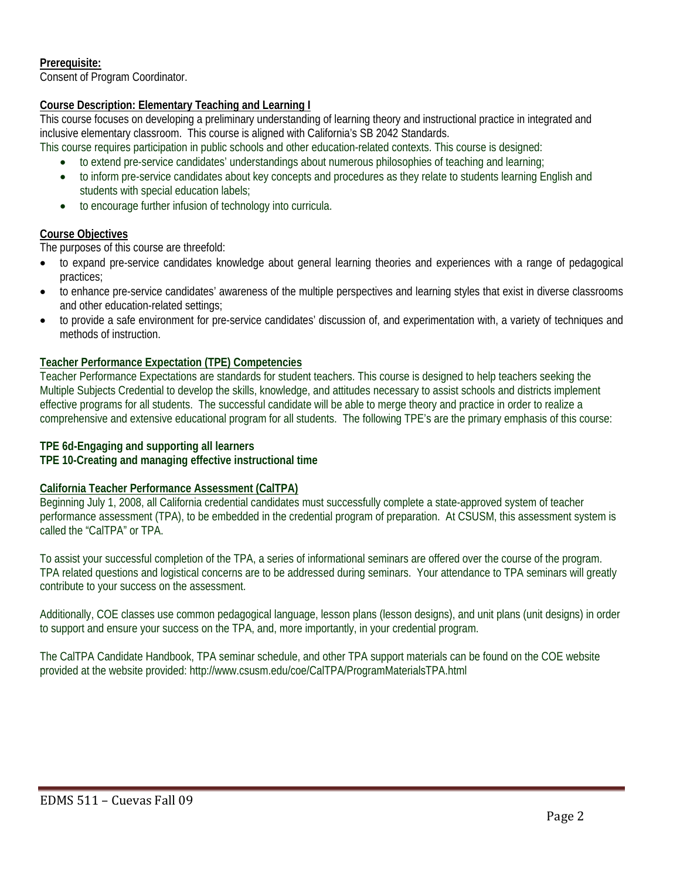#### **Prerequisite:**

Consent of Program Coordinator.

#### **Course Description: Elementary Teaching and Learning I**

This course focuses on developing a preliminary understanding of learning theory and instructional practice in integrated and inclusive elementary classroom. This course is aligned with California's SB 2042 Standards.

- This course requires participation in public schools and other education-related contexts. This course is designed:
	- to extend pre-service candidates' understandings about numerous philosophies of teaching and learning;
	- to inform pre-service candidates about key concepts and procedures as they relate to students learning English and students with special education labels;
	- to encourage further infusion of technology into curricula.

#### **Course Objectives**

The purposes of this course are threefold:

- • to expand pre-service candidates knowledge about general learning theories and experiences with a range of pedagogical practices;
- to enhance pre-service candidates' awareness of the multiple perspectives and learning styles that exist in diverse classrooms and other education-related settings;
- to provide a safe environment for pre-service candidates' discussion of, and experimentation with, a variety of techniques and methods of instruction.

#### **Teacher Performance Expectation (TPE) Competencies**

Teacher Performance Expectations are standards for student teachers. This course is designed to help teachers seeking the Multiple Subjects Credential to develop the skills, knowledge, and attitudes necessary to assist schools and districts implement effective programs for all students. The successful candidate will be able to merge theory and practice in order to realize a comprehensive and extensive educational program for all students. The following TPE's are the primary emphasis of this course:

#### **TPE 6d-Engaging and supporting all learners**

### TPE 10-Creating and managing effective instructional time

#### **California Teacher Performance Assessment (CalTPA)**

Beginning July 1, 2008, all California credential candidates must successfully complete a state-approved system of teacher performance assessment (TPA), to be embedded in the credential program of preparation. At CSUSM, this assessment system is called the "CalTPA" or TPA.

 To assist your successful completion of the TPA, a series of informational seminars are offered over the course of the program. TPA related questions and logistical concerns are to be addressed during seminars. Your attendance to TPA seminars will greatly contribute to your success on the assessment.

 Additionally, COE classes use common pedagogical language, lesson plans (lesson designs), and unit plans (unit designs) in order to support and ensure your success on the TPA, and, more importantly, in your credential program.

The CalTPA Candidate Handbook, TPA seminar schedule, and other TPA support materials can be found on the COE website provided at the website provided: http://www.csusm.edu/coe/CalTPA/ProgramMaterialsTPA.html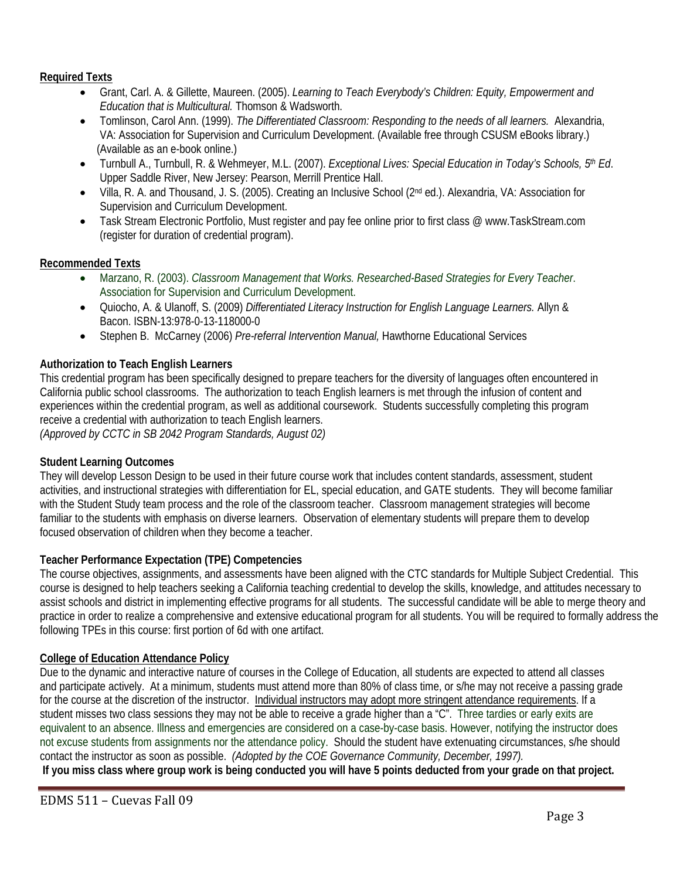#### **Required Texts**

- Grant, Carl. A. & Gillette, Maureen. (2005). *Learning to Teach Everybody's Children: Equity, Empowerment and Education that is Multicultural.* Thomson & Wadsworth.
- • Tomlinson, Carol Ann. (1999). *The Differentiated Classroom: Responding to the needs of all learners.* Alexandria, VA: Association for Supervision and Curriculum Development. (Available free through CSUSM eBooks library.) (Available as an e-book online.)
- • Turnbull A., Turnbull, R. & Wehmeyer, M.L. (2007). *Exceptional Lives: Special Education in Today's Schools, 5th Ed*. Upper Saddle River, New Jersey: Pearson, Merrill Prentice Hall.
- Villa, R. A. and Thousand, J. S. (2005). Creating an Inclusive School (2<sup>nd</sup> ed.). Alexandria, VA: Association for Supervision and Curriculum Development.
- Task Stream Electronic Portfolio, Must register and pay fee online prior to first class @ www.TaskStream.com (register for duration of credential program).

#### **Recommended Texts**

- • Marzano, R. (2003). *Classroom Management that Works. Researched-Based Strategies for Every Teacher*. Association for Supervision and Curriculum Development.
- • Quiocho, A. & Ulanoff, S. (2009) *Differentiated Literacy Instruction for English Language Learners.* Allyn & Bacon. ISBN-13:978-0-13-118000-0
- Stephen B. McCarney (2006) Pre-referral Intervention Manual, Hawthorne Educational Services

#### **Authorization to Teach English Learners**

This credential program has been specifically designed to prepare teachers for the diversity of languages often encountered in California public school classrooms. The authorization to teach English learners is met through the infusion of content and experiences within the credential program, as well as additional coursework. Students successfully completing this program receive a credential with authorization to teach English learners. *(Approved by CCTC in SB 2042 Program Standards, August 02)* 

**Student Learning Outcomes** 

They will develop Lesson Design to be used in their future course work that includes content standards, assessment, student activities, and instructional strategies with differentiation for EL, special education, and GATE students. They will become familiar with the Student Study team process and the role of the classroom teacher. Classroom management strategies will become familiar to the students with emphasis on diverse learners. Observation of elementary students will prepare them to develop focused observation of children when they become a teacher.

#### **Teacher Performance Expectation (TPE) Competencies**

The course objectives, assignments, and assessments have been aligned with the CTC standards for Multiple Subject Credential. This course is designed to help teachers seeking a California teaching credential to develop the skills, knowledge, and attitudes necessary to assist schools and district in implementing effective programs for all students. The successful candidate will be able to merge theory and practice in order to realize a comprehensive and extensive educational program for all students. You will be required to formally address the following TPEs in this course: first portion of 6d with one artifact.

#### **College of Education Attendance Policy**

 contact the instructor as soon as possible. *(Adopted by the COE Governance Community, December, 1997).* Due to the dynamic and interactive nature of courses in the College of Education, all students are expected to attend all classes and participate actively. At a minimum, students must attend more than 80% of class time, or s/he may not receive a passing grade for the course at the discretion of the instructor. Individual instructors may adopt more stringent attendance requirements. If a student misses two class sessions they may not be able to receive a grade higher than a "C". Three tardies or early exits are equivalent to an absence. Illness and emergencies are considered on a case-by-case basis. However, notifying the instructor does not excuse students from assignments nor the attendance policy. Should the student have extenuating circumstances, s/he should

**If you miss class where group work is being conducted you will have 5 points deducted from your grade on that project.**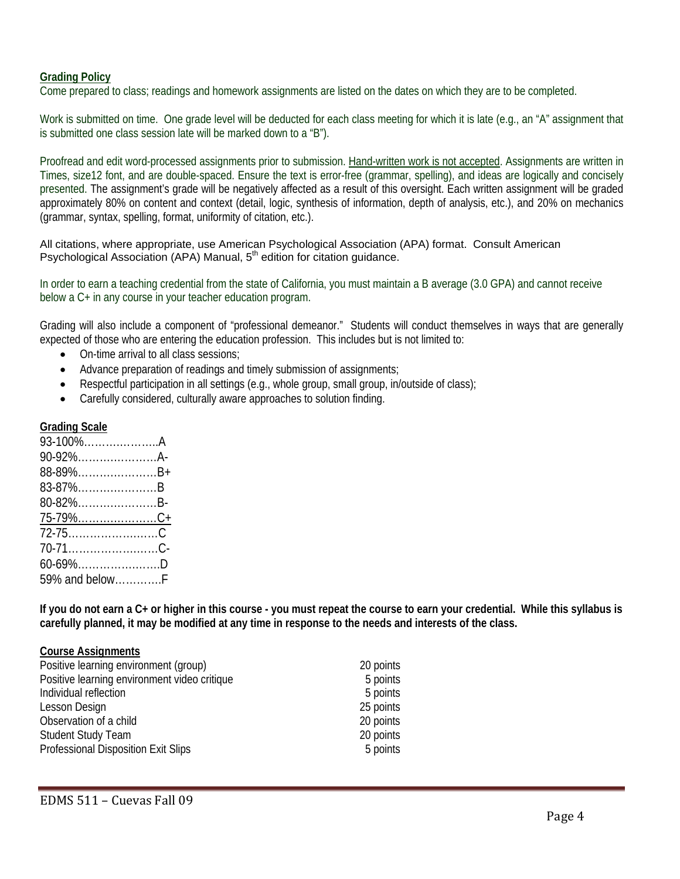#### **Grading Policy**

Come prepared to class; readings and homework assignments are listed on the dates on which they are to be completed.

Work is submitted on time. One grade level will be deducted for each class meeting for which it is late (e.g., an "A" assignment that is submitted one class session late will be marked down to a "B").

 presented. The assignment's grade will be negatively affected as a result of this oversight. Each written assignment will be graded Proofread and edit word-processed assignments prior to submission. Hand-written work is not accepted. Assignments are written in Times, size12 font, and are double-spaced. Ensure the text is error-free (grammar, spelling), and ideas are logically and concisely approximately 80% on content and context (detail, logic, synthesis of information, depth of analysis, etc.), and 20% on mechanics (grammar, syntax, spelling, format, uniformity of citation, etc.).

All citations, where appropriate, use American Psychological Association (APA) format. Consult American Psychological Association (APA) Manual, 5<sup>th</sup> edition for citation guidance.

In order to earn a teaching credential from the state of California, you must maintain a B average (3.0 GPA) and cannot receive below a C+ in any course in your teacher education program.

Grading will also include a component of "professional demeanor." Students will conduct themselves in ways that are generally expected of those who are entering the education profession. This includes but is not limited to:

- On-time arrival to all class sessions;
- Advance preparation of readings and timely submission of assignments;
- Respectful participation in all settings (e.g., whole group, small group, in/outside of class);
- Carefully considered, culturally aware approaches to solution finding.

#### **Grading Scale**

| 93-100%A        |  |
|-----------------|--|
| 90-92%A-        |  |
| 88-89%B+        |  |
| 83-87%B         |  |
| 80-82%B-        |  |
|                 |  |
|                 |  |
| 70-71C-         |  |
| $60 - 69\%$ D   |  |
| 59% and below F |  |

**If you do not earn a C+ or higher in this course - you must repeat the course to earn your credential. While this syllabus is carefully planned, it may be modified at any time in response to the needs and interests of the class.** 

#### **Course Assignments**

| Positive learning environment (group)        | 20 points |
|----------------------------------------------|-----------|
| Positive learning environment video critique | 5 points  |
| Individual reflection                        | 5 points  |
| Lesson Design                                | 25 points |
| Observation of a child                       | 20 points |
| <b>Student Study Team</b>                    | 20 points |
| Professional Disposition Exit Slips          | 5 points  |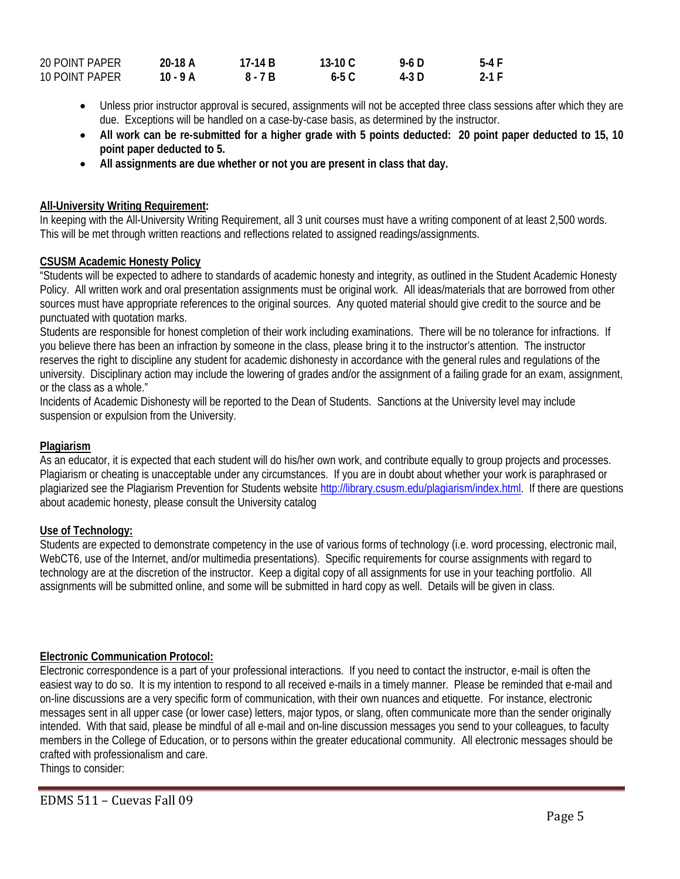| <b>20 POINT PAPER</b> | 20-18 A  | 17-14 B | 13-10 $C$ | 9-6 D | 5-4 F |
|-----------------------|----------|---------|-----------|-------|-------|
| 10 POINT PAPER        | 10 - 9 A | 8 - 7 B | 6-5 C     | 4-3 D | 2-1 F |

- Unless prior instructor approval is secured, assignments will not be accepted three class sessions after which they are due. Exceptions will be handled on a case-by-case basis, as determined by the instructor.
- All work can be re-submitted for a higher grade with 5 points deducted: 20 point paper deducted to 15, 10 **point paper deducted to 5.**
- All assignments are due whether or not you are present in class that day.

#### **All-University Writing Requirement:**

In keeping with the All-University Writing Requirement, all 3 unit courses must have a writing component of at least 2,500 words. This will be met through written reactions and reflections related to assigned readings/assignments.

#### **CSUSM Academic Honesty Policy**

"Students will be expected to adhere to standards of academic honesty and integrity, as outlined in the Student Academic Honesty Policy. All written work and oral presentation assignments must be original work. All ideas/materials that are borrowed from other sources must have appropriate references to the original sources. Any quoted material should give credit to the source and be punctuated with quotation marks.

Students are responsible for honest completion of their work including examinations. There will be no tolerance for infractions. If you believe there has been an infraction by someone in the class, please bring it to the instructor's attention. The instructor reserves the right to discipline any student for academic dishonesty in accordance with the general rules and regulations of the university. Disciplinary action may include the lowering of grades and/or the assignment of a failing grade for an exam, assignment, or the class as a whole."

Incidents of Academic Dishonesty will be reported to the Dean of Students. Sanctions at the University level may include suspension or expulsion from the University.

#### **Plagiarism**

As an educator, it is expected that each student will do his/her own work, and contribute equally to group projects and processes. Plagiarism or cheating is unacceptable under any circumstances. If you are in doubt about whether your work is paraphrased or plagiarized see the Plagiarism Prevention for Students website http://library.csusm.edu/plagiarism/index.html. If there are questions about academic honesty, please consult the University catalog

#### **Use of Technology:**

 Students are expected to demonstrate competency in the use of various forms of technology (i.e. word processing, electronic mail, WebCT6, use of the Internet, and/or multimedia presentations). Specific requirements for course assignments with regard to technology are at the discretion of the instructor. Keep a digital copy of all assignments for use in your teaching portfolio. All assignments will be submitted online, and some will be submitted in hard copy as well. Details will be given in class.

#### **Electronic Communication Protocol:**

Electronic correspondence is a part of your professional interactions. If you need to contact the instructor, e-mail is often the easiest way to do so. It is my intention to respond to all received e-mails in a timely manner. Please be reminded that e-mail and on-line discussions are a very specific form of communication, with their own nuances and etiquette. For instance, electronic messages sent in all upper case (or lower case) letters, major typos, or slang, often communicate more than the sender originally intended. With that said, please be mindful of all e-mail and on-line discussion messages you send to your colleagues, to faculty members in the College of Education, or to persons within the greater educational community. All electronic messages should be crafted with professionalism and care.

Things to consider: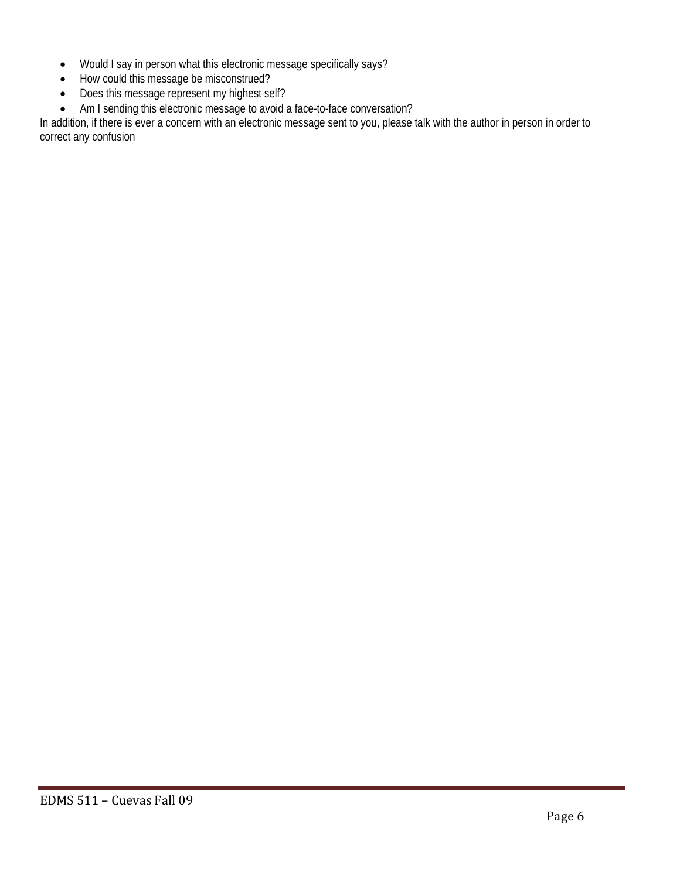- Would I say in person what this electronic message specifically says?
- How could this message be misconstrued?
- Does this message represent my highest self?
- Am I sending this electronic message to avoid a face-to-face conversation?

In addition, if there is ever a concern with an electronic message sent to you, please talk with the author in person in order to correct any confusion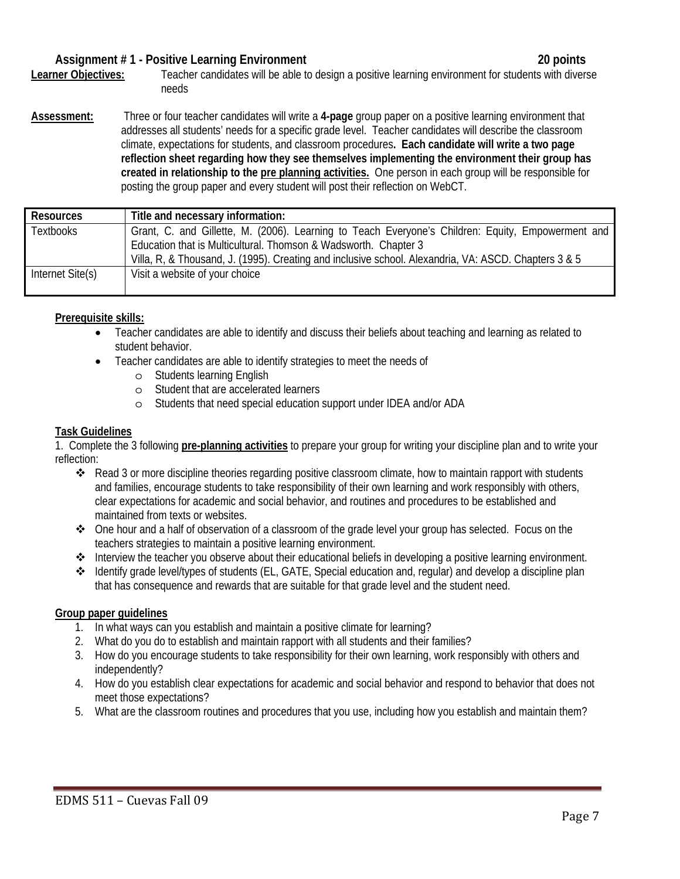#### Assignment # 1 - Positive Learning Environment **20** points **20** points

**Learner Objectives:** Teacher candidates will be able to design a positive learning environment for students with diverse needs

**Assessment:** Three or four teacher candidates will write a **4-page** group paper on a positive learning environment that addresses all students' needs for a specific grade level. Teacher candidates will describe the classroom climate, expectations for students, and classroom procedures**. Each candidate will write a two page reflection sheet regarding how they see themselves implementing the environment their group has created in relationship to the pre planning activities.** One person in each group will be responsible for posting the group paper and every student will post their reflection on WebCT.

| <b>Resources</b> | Title and necessary information:                                                                     |
|------------------|------------------------------------------------------------------------------------------------------|
| Textbooks        | Grant, C. and Gillette, M. (2006). Learning to Teach Everyone's Children: Equity, Empowerment and    |
|                  | Education that is Multicultural. Thomson & Wadsworth. Chapter 3                                      |
|                  | Villa, R, & Thousand, J. (1995). Creating and inclusive school. Alexandria, VA: ASCD. Chapters 3 & 5 |
| Internet Site(s) | Visit a website of your choice                                                                       |

#### **Prerequisite skills:**

- Teacher candidates are able to identify and discuss their beliefs about teaching and learning as related to student behavior.
	- Teacher candidates are able to identify strategies to meet the needs of
		- o Students learning English
		- o Student that are accelerated learners
		- o Students that need special education support under IDEA and/or ADA

#### **Task Guidelines**

1. Complete the 3 following **pre-planning activities** to prepare your group for writing your discipline plan and to write your reflection:

- Read 3 or more discipline theories regarding positive classroom climate, how to maintain rapport with students and families, encourage students to take responsibility of their own learning and work responsibly with others, clear expectations for academic and social behavior, and routines and procedures to be established and maintained from texts or websites.
- One hour and a half of observation of a classroom of the grade level your group has selected. Focus on the teachers strategies to maintain a positive learning environment.
- Interview the teacher you observe about their educational beliefs in developing a positive learning environment.
- Identify grade level/types of students (EL, GATE, Special education and, regular) and develop a discipline plan that has consequence and rewards that are suitable for that grade level and the student need.

#### **Group paper guidelines**

- 1. In what ways can you establish and maintain a positive climate for learning?
- 2. What do you do to establish and maintain rapport with all students and their families?
- 3. How do you encourage students to take responsibility for their own learning, work responsibly with others and independently?
- 4. How do you establish clear expectations for academic and social behavior and respond to behavior that does not meet those expectations?
- 5. What are the classroom routines and procedures that you use, including how you establish and maintain them?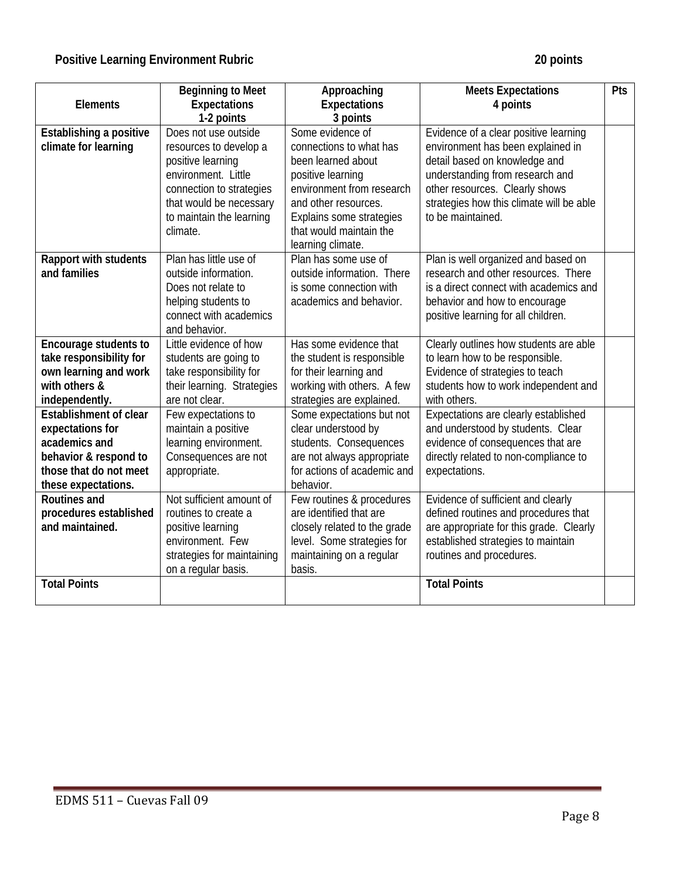# **Positive Learning Environment Rubric 20 points 20 points**

| <b>Elements</b>                                                                                                                       | <b>Beginning to Meet</b><br><b>Expectations</b><br>1-2 points                                                                                                                             | Approaching<br><b>Expectations</b><br>3 points                                                                                                                                                                          | <b>Meets Expectations</b><br>4 points                                                                                                                                                                                                             | Pts |
|---------------------------------------------------------------------------------------------------------------------------------------|-------------------------------------------------------------------------------------------------------------------------------------------------------------------------------------------|-------------------------------------------------------------------------------------------------------------------------------------------------------------------------------------------------------------------------|---------------------------------------------------------------------------------------------------------------------------------------------------------------------------------------------------------------------------------------------------|-----|
| Establishing a positive<br>climate for learning                                                                                       | Does not use outside<br>resources to develop a<br>positive learning<br>environment. Little<br>connection to strategies<br>that would be necessary<br>to maintain the learning<br>climate. | Some evidence of<br>connections to what has<br>been learned about<br>positive learning<br>environment from research<br>and other resources.<br>Explains some strategies<br>that would maintain the<br>learning climate. | Evidence of a clear positive learning<br>environment has been explained in<br>detail based on knowledge and<br>understanding from research and<br>other resources. Clearly shows<br>strategies how this climate will be able<br>to be maintained. |     |
| Rapport with students<br>and families                                                                                                 | Plan has little use of<br>outside information.<br>Does not relate to<br>helping students to<br>connect with academics<br>and behavior.                                                    | Plan has some use of<br>outside information. There<br>is some connection with<br>academics and behavior.                                                                                                                | Plan is well organized and based on<br>research and other resources. There<br>is a direct connect with academics and<br>behavior and how to encourage<br>positive learning for all children.                                                      |     |
| Encourage students to<br>take responsibility for<br>own learning and work<br>with others &<br>independently.                          | Little evidence of how<br>students are going to<br>take responsibility for<br>their learning. Strategies<br>are not clear.                                                                | Has some evidence that<br>the student is responsible<br>for their learning and<br>working with others. A few<br>strategies are explained.                                                                               | Clearly outlines how students are able<br>to learn how to be responsible.<br>Evidence of strategies to teach<br>students how to work independent and<br>with others.                                                                              |     |
| Establishment of clear<br>expectations for<br>academics and<br>behavior & respond to<br>those that do not meet<br>these expectations. | Few expectations to<br>maintain a positive<br>learning environment.<br>Consequences are not<br>appropriate.                                                                               | Some expectations but not<br>clear understood by<br>students. Consequences<br>are not always appropriate<br>for actions of academic and<br>behavior.                                                                    | Expectations are clearly established<br>and understood by students. Clear<br>evidence of consequences that are<br>directly related to non-compliance to<br>expectations.                                                                          |     |
| Routines and<br>procedures established<br>and maintained.                                                                             | Not sufficient amount of<br>routines to create a<br>positive learning<br>environment. Few<br>strategies for maintaining<br>on a regular basis.                                            | Few routines & procedures<br>are identified that are<br>closely related to the grade<br>level. Some strategies for<br>maintaining on a regular<br>basis.                                                                | Evidence of sufficient and clearly<br>defined routines and procedures that<br>are appropriate for this grade. Clearly<br>established strategies to maintain<br>routines and procedures.                                                           |     |
| <b>Total Points</b>                                                                                                                   |                                                                                                                                                                                           |                                                                                                                                                                                                                         | <b>Total Points</b>                                                                                                                                                                                                                               |     |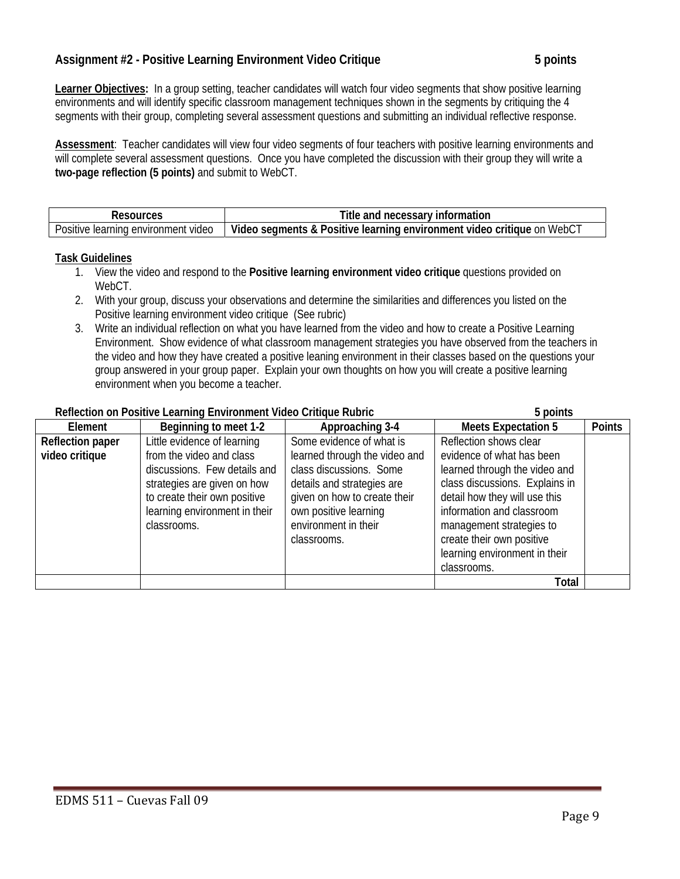## Assignment #2 - Positive Learning Environment Video Critique **5 5 and 5 points** 5 points

Learner Objectives: In a group setting, teacher candidates will watch four video segments that show positive learning environments and will identify specific classroom management techniques shown in the segments by critiquing the 4 segments with their group, completing several assessment questions and submitting an individual reflective response.

**Assessment**: Teacher candidates will view four video segments of four teachers with positive learning environments and will complete several assessment questions. Once you have completed the discussion with their group they will write a **two-page reflection (5 points)** and submit to WebCT.

|                                                | Title and necessary information                                        |
|------------------------------------------------|------------------------------------------------------------------------|
| Positive<br>: learning environment! د<br>video | Video segments & Positive learning environment video critique on WebC1 |

#### **Task Guidelines**

- 1. View the video and respond to the Positive learning environment video critique questions provided on WebCT.
- 2. With your group, discuss your observations and determine the similarities and differences you listed on the Positive learning environment video critique (See rubric)
- 3. Write an individual reflection on what you have learned from the video and how to create a Positive Learning Environment. Show evidence of what classroom management strategies you have observed from the teachers in the video and how they have created a positive leaning environment in their classes based on the questions your group answered in your group paper. Explain your own thoughts on how you will create a positive learning environment when you become a teacher.

#### **Reflection on Positive Learning Environment Video Critique Rubric 5 points**

| <b>INCHCCHOTT OF LOSITIVE LCALLING LITVILOHITICH</b> VIOCO CHIQOC INONIC |                               |                               | J NUIHUJ                       |               |
|--------------------------------------------------------------------------|-------------------------------|-------------------------------|--------------------------------|---------------|
| Element                                                                  | Beginning to meet 1-2         | Approaching 3-4               | <b>Meets Expectation 5</b>     | <b>Points</b> |
| <b>Reflection paper</b>                                                  | Little evidence of learning   | Some evidence of what is      | Reflection shows clear         |               |
| video critique                                                           | from the video and class      | learned through the video and | evidence of what has been      |               |
|                                                                          | discussions. Few details and  | class discussions. Some       | learned through the video and  |               |
|                                                                          | strategies are given on how   | details and strategies are    | class discussions. Explains in |               |
|                                                                          | to create their own positive  | given on how to create their  | detail how they will use this  |               |
|                                                                          | learning environment in their | own positive learning         | information and classroom      |               |
|                                                                          | classrooms.                   | environment in their          | management strategies to       |               |
|                                                                          |                               | classrooms.                   | create their own positive      |               |
|                                                                          |                               |                               | learning environment in their  |               |
|                                                                          |                               |                               | classrooms.                    |               |
|                                                                          |                               |                               | <b>Total</b>                   |               |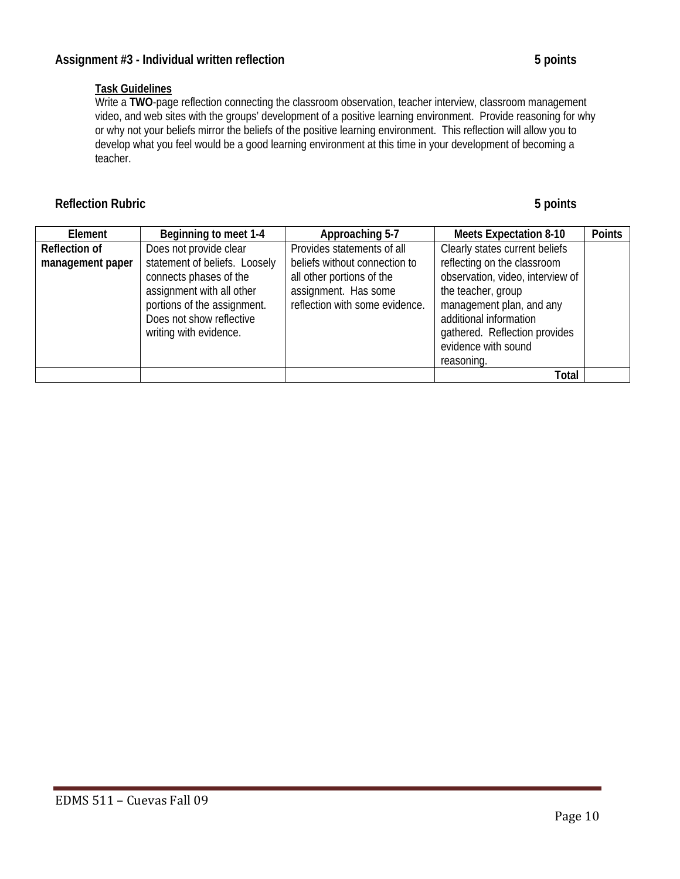# **Task Guidelines**

Write a **TWO**-page reflection connecting the classroom observation, teacher interview, classroom management video, and web sites with the groups' development of a positive learning environment. Provide reasoning for why or why not your beliefs mirror the beliefs of the positive learning environment. This reflection will allow you to develop what you feel would be a good learning environment at this time in your development of becoming a teacher.

# **Reflection Rubric** 5 points **5** points

| Element              | Beginning to meet 1-4         | Approaching 5-7                | <b>Meets Expectation 8-10</b>    | <b>Points</b> |
|----------------------|-------------------------------|--------------------------------|----------------------------------|---------------|
| <b>Reflection of</b> | Does not provide clear        | Provides statements of all     | Clearly states current beliefs   |               |
| management paper     | statement of beliefs. Loosely | beliefs without connection to  | reflecting on the classroom      |               |
|                      | connects phases of the        | all other portions of the      | observation, video, interview of |               |
|                      | assignment with all other     | assignment. Has some           | the teacher, group               |               |
|                      | portions of the assignment.   | reflection with some evidence. | management plan, and any         |               |
|                      | Does not show reflective      |                                | additional information           |               |
|                      | writing with evidence.        |                                | gathered. Reflection provides    |               |
|                      |                               |                                | evidence with sound              |               |
|                      |                               |                                | reasoning.                       |               |
|                      |                               |                                | <b>Total</b>                     |               |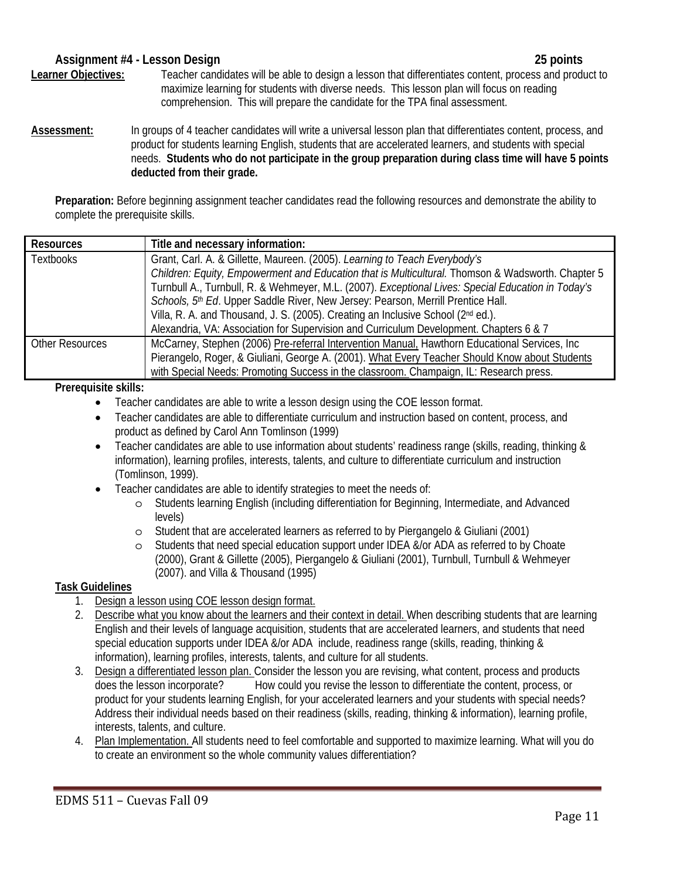#### **Assignment #4 - Lesson Design 25 points**  Learner Objectives:<br> **Learner Objectives:** Teacher candidates will be able to design a lesson that differentiates content, process and product to maximize learning for students with diverse needs. This lesson plan will focus on reading comprehension. This will prepare the candidate for the TPA final assessment.

 **deducted from their grade. Assessment:** In groups of 4 teacher candidates will write a universal lesson plan that differentiates content, process, and product for students learning English, students that are accelerated learners, and students with special needs. **Students who do not participate in the group preparation during class time will have 5 points** 

**Preparation:** Before beginning assignment teacher candidates read the following resources and demonstrate the ability to complete the prerequisite skills.

| <b>Resources</b>       | Title and necessary information:                                                                   |  |  |
|------------------------|----------------------------------------------------------------------------------------------------|--|--|
| <b>Textbooks</b>       | Grant, Carl. A. & Gillette, Maureen. (2005). Learning to Teach Everybody's                         |  |  |
|                        | Children: Equity, Empowerment and Education that is Multicultural. Thomson & Wadsworth. Chapter 5  |  |  |
|                        | Turnbull A., Turnbull, R. & Wehmeyer, M.L. (2007). Exceptional Lives: Special Education in Today's |  |  |
|                        | Schools, 5th Ed. Upper Saddle River, New Jersey: Pearson, Merrill Prentice Hall.                   |  |  |
|                        | Villa, R. A. and Thousand, J. S. (2005). Creating an Inclusive School (2nd ed.).                   |  |  |
|                        | Alexandria, VA: Association for Supervision and Curriculum Development. Chapters 6 & 7             |  |  |
| <b>Other Resources</b> | McCarney, Stephen (2006) Pre-referral Intervention Manual, Hawthorn Educational Services, Inc      |  |  |
|                        | Pierangelo, Roger, & Giuliani, George A. (2001). What Every Teacher Should Know about Students     |  |  |
|                        | with Special Needs: Promoting Success in the classroom. Champaign, IL: Research press.             |  |  |

#### **Prerequisite skills:**

- Teacher candidates are able to write a lesson design using the COE lesson format.
- Teacher candidates are able to differentiate curriculum and instruction based on content, process, and product as defined by Carol Ann Tomlinson (1999)
- Teacher candidates are able to use information about students' readiness range (skills, reading, thinking & information), learning profiles, interests, talents, and culture to differentiate curriculum and instruction (Tomlinson, 1999).
- Teacher candidates are able to identify strategies to meet the needs of:
	- o Students learning English (including differentiation for Beginning, Intermediate, and Advanced levels)
	- o Student that are accelerated learners as referred to by Piergangelo & Giuliani (2001)
	- Students that need special education support under IDEA &/or ADA as referred to by Choate (2000), Grant & Gillette (2005), Piergangelo & Giuliani (2001), Turnbull, Turnbull & Wehmeyer (2007). and Villa & Thousand (1995)

### **Task Guidelines**

- 1. Design a lesson using COE lesson design format.
- information), learning profiles, interests, talents, and culture for all students. 2. Describe what you know about the learners and their context in detail. When describing students that are learning English and their levels of language acquisition, students that are accelerated learners, and students that need special education supports under IDEA &/or ADA include, readiness range (skills, reading, thinking &
- 3. Design a differentiated lesson plan. Consider the lesson you are revising, what content, process and products does the lesson incorporate? How could you revise the lesson to differentiate the content, process, or product for your students learning English, for your accelerated learners and your students with special needs? Address their individual needs based on their readiness (skills, reading, thinking & information), learning profile, interests, talents, and culture.
- 4. Plan Implementation. All students need to feel comfortable and supported to maximize learning. What will you do to create an environment so the whole community values differentiation?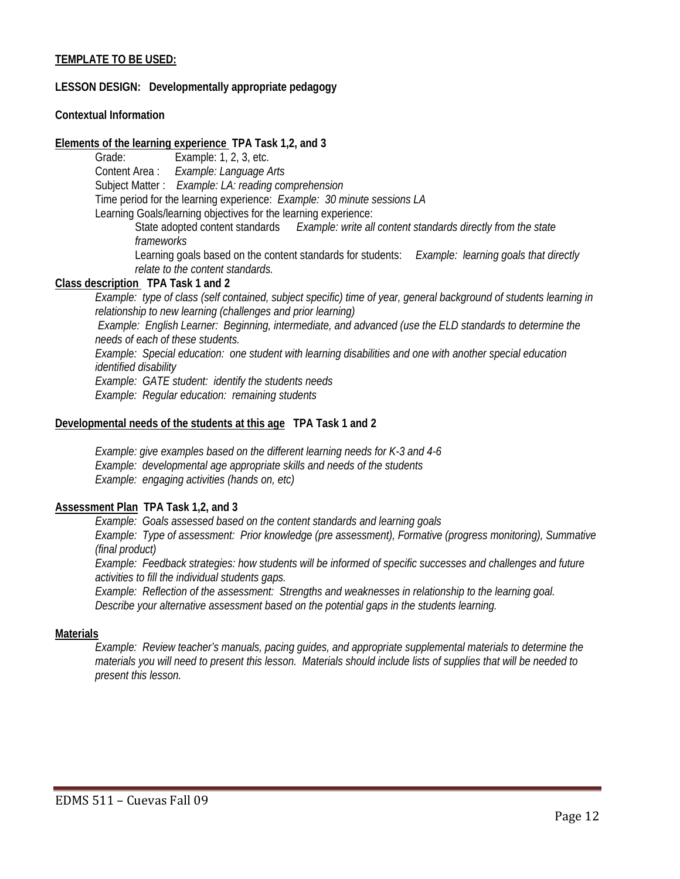#### **TEMPLATE TO BE USED:**

#### **LESSON DESIGN: Developmentally appropriate pedagogy**

#### **Contextual Information**

#### **Elements of the learning experience TPA Task 1,2, and 3**

Grade: Example: 1, 2, 3, etc. Content Area : *Example: Language Arts* Subject Matter : *Example: LA: reading comprehension*  Time period for the learning experience: *Example: 30 minute sessions LA*  Learning Goals/learning objectives for the learning experience:

State adopted content standards *Example: write all content standards directly from the state frameworks* 

Learning goals based on the content standards for students: *Example: learning goals that directly relate to the content standards.* 

#### **Class description TPA Task 1 and 2**

*Example: type of class (self contained, subject specific) time of year, general background of students learning in relationship to new learning (challenges and prior learning) Example: English Learner: Beginning, intermediate, and advanced (use the ELD standards to determine the needs of each of these students. Example: Special education: one student with learning disabilities and one with another special education identified disability Example: GATE student: identify the students needs Example: Regular education: remaining students* 

#### **Developmental needs of the students at this age TPA Task 1 and 2**

 *Example: give examples based on the different learning needs for K-3 and 4-6 Example: developmental age appropriate skills and needs of the students Example: engaging activities (hands on, etc)*

#### **Assessment Plan TPA Task 1,2, and 3**

*Example: Goals assessed based on the content standards and learning goals Example: Type of assessment: Prior knowledge (pre assessment), Formative (progress monitoring), Summative (final product)*

*Example: Feedback strategies: how students will be informed of specific successes and challenges and future activities to fill the individual students gaps.*

*Example: Reflection of the assessment: Strengths and weaknesses in relationship to the learning goal. Describe your alternative assessment based on the potential gaps in the students learning.* 

#### **Materials**

*Example: Review teacher's manuals, pacing guides, and appropriate supplemental materials to determine the materials you will need to present this lesson. Materials should include lists of supplies that will be needed to present this lesson.*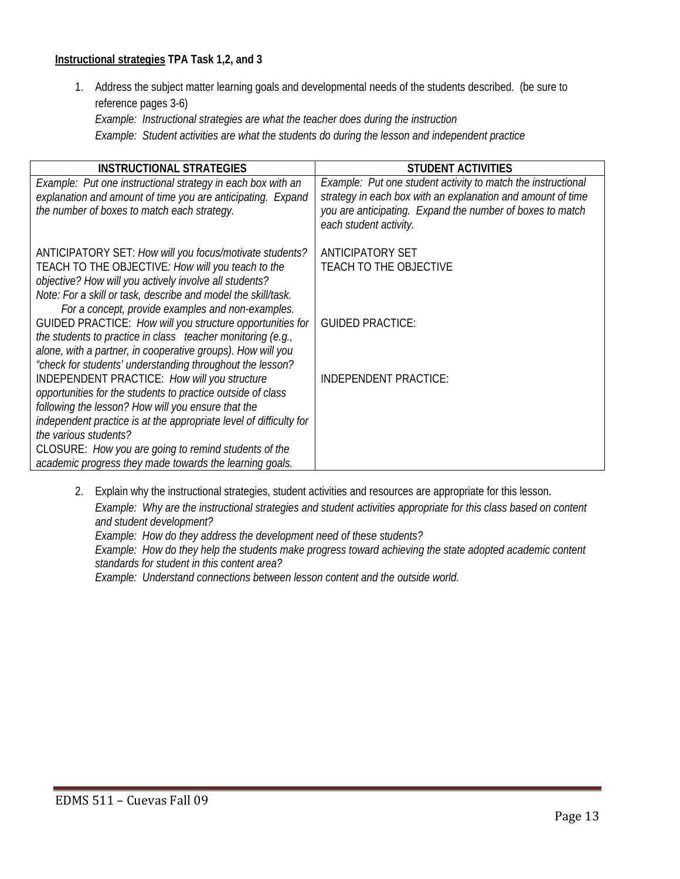#### **Instructional strategies TPA Task 1,2, and 3**

1. Address the subject matter learning goals and developmental needs of the students described. (be sure to reference pages 3-6) *Example: Instructional strategies are what the teacher does during the instruction* 

*Example: Student activities are what the students do during the lesson and independent practice* 

| <b>INSTRUCTIONAL STRATEGIES</b>                                                                           | <b>STUDENT ACTIVITIES</b>                                                           |
|-----------------------------------------------------------------------------------------------------------|-------------------------------------------------------------------------------------|
| Example: Put one instructional strategy in each box with an                                               | Example: Put one student activity to match the instructional                        |
| explanation and amount of time you are anticipating. Expand                                               | strategy in each box with an explanation and amount of time                         |
| the number of boxes to match each strategy.                                                               | you are anticipating. Expand the number of boxes to match<br>each student activity. |
| ANTICIPATORY SET: How will you focus/motivate students?                                                   | <b>ANTICIPATORY SET</b>                                                             |
| TEACH TO THE OBJECTIVE: How will you teach to the                                                         | <b>TEACH TO THE OBJECTIVE</b>                                                       |
| objective? How will you actively involve all students?                                                    |                                                                                     |
| Note: For a skill or task, describe and model the skill/task.                                             |                                                                                     |
| For a concept, provide examples and non-examples.                                                         |                                                                                     |
| GUIDED PRACTICE: How will you structure opportunities for                                                 | <b>GUIDED PRACTICE:</b>                                                             |
| the students to practice in class teacher monitoring (e.g.,                                               |                                                                                     |
| alone, with a partner, in cooperative groups). How will you                                               |                                                                                     |
| "check for students' understanding throughout the lesson?<br>INDEPENDENT PRACTICE: How will you structure | INDEPENDENT PRACTICE:                                                               |
| opportunities for the students to practice outside of class                                               |                                                                                     |
| following the lesson? How will you ensure that the                                                        |                                                                                     |
| independent practice is at the appropriate level of difficulty for                                        |                                                                                     |
| the various students?                                                                                     |                                                                                     |
| CLOSURE: How you are going to remind students of the                                                      |                                                                                     |
| academic progress they made towards the learning goals.                                                   |                                                                                     |

2. Explain why the instructional strategies, student activities and resources are appropriate for this lesson.

*Example: Why are the instructional strategies and student activities appropriate for this class based on content and student development?*

*Example: How do they address the development need of these students?*

*Example: How do they help the students make progress toward achieving the state adopted academic content standards for student in this content area?*

*Example: Understand connections between lesson content and the outside world.*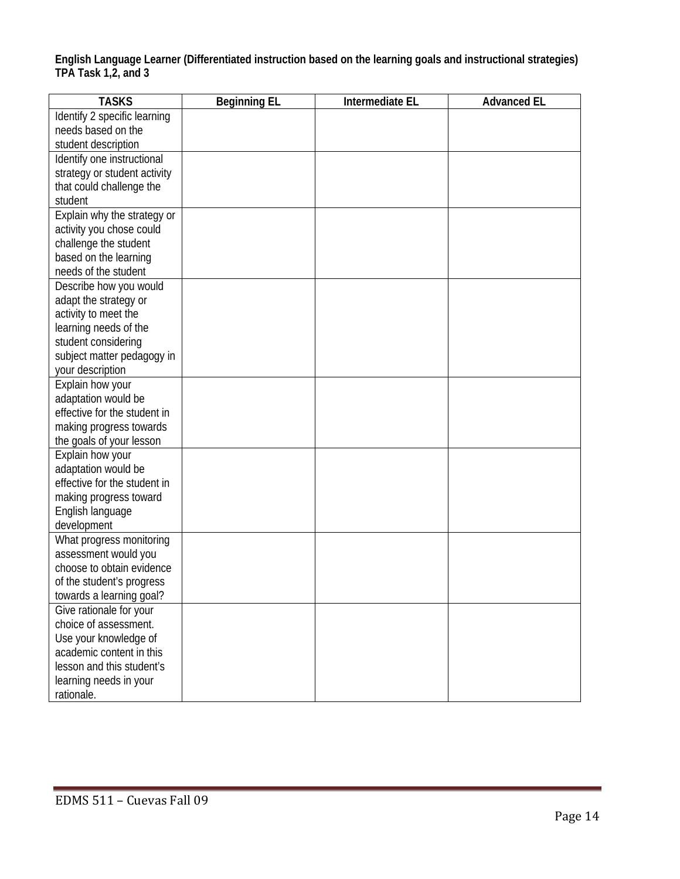**English Language Learner (Differentiated instruction based on the learning goals and instructional strategies) TPA Task 1,2, and 3** 

| <b>TASKS</b>                 | <b>Beginning EL</b> | Intermediate EL | <b>Advanced EL</b> |
|------------------------------|---------------------|-----------------|--------------------|
| Identify 2 specific learning |                     |                 |                    |
| needs based on the           |                     |                 |                    |
| student description          |                     |                 |                    |
| Identify one instructional   |                     |                 |                    |
| strategy or student activity |                     |                 |                    |
| that could challenge the     |                     |                 |                    |
| student                      |                     |                 |                    |
| Explain why the strategy or  |                     |                 |                    |
| activity you chose could     |                     |                 |                    |
| challenge the student        |                     |                 |                    |
| based on the learning        |                     |                 |                    |
| needs of the student         |                     |                 |                    |
| Describe how you would       |                     |                 |                    |
| adapt the strategy or        |                     |                 |                    |
| activity to meet the         |                     |                 |                    |
| learning needs of the        |                     |                 |                    |
| student considering          |                     |                 |                    |
| subject matter pedagogy in   |                     |                 |                    |
| your description             |                     |                 |                    |
| Explain how your             |                     |                 |                    |
| adaptation would be          |                     |                 |                    |
| effective for the student in |                     |                 |                    |
| making progress towards      |                     |                 |                    |
| the goals of your lesson     |                     |                 |                    |
| Explain how your             |                     |                 |                    |
| adaptation would be          |                     |                 |                    |
| effective for the student in |                     |                 |                    |
| making progress toward       |                     |                 |                    |
| English language             |                     |                 |                    |
| development                  |                     |                 |                    |
| What progress monitoring     |                     |                 |                    |
| assessment would you         |                     |                 |                    |
| choose to obtain evidence    |                     |                 |                    |
| of the student's progress    |                     |                 |                    |
| towards a learning goal?     |                     |                 |                    |
| Give rationale for your      |                     |                 |                    |
| choice of assessment.        |                     |                 |                    |
| Use your knowledge of        |                     |                 |                    |
| academic content in this     |                     |                 |                    |
| lesson and this student's    |                     |                 |                    |
| learning needs in your       |                     |                 |                    |
| rationale.                   |                     |                 |                    |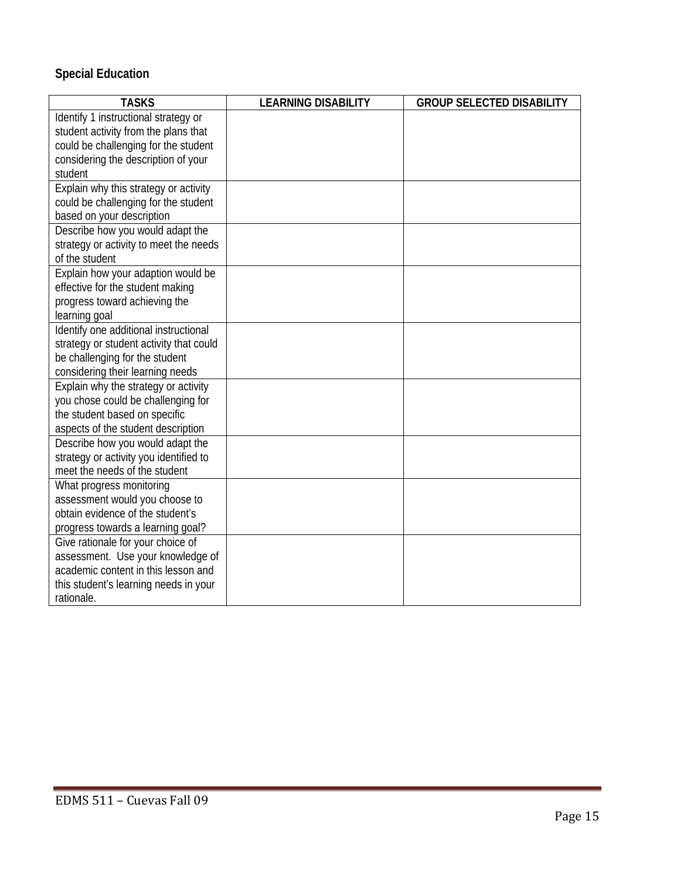# **Special Education**

| <b>TASKS</b>                                                               | <b>LEARNING DISABILITY</b> | <b>GROUP SELECTED DISABILITY</b> |
|----------------------------------------------------------------------------|----------------------------|----------------------------------|
| Identify 1 instructional strategy or                                       |                            |                                  |
| student activity from the plans that                                       |                            |                                  |
| could be challenging for the student                                       |                            |                                  |
| considering the description of your                                        |                            |                                  |
| student                                                                    |                            |                                  |
| Explain why this strategy or activity                                      |                            |                                  |
| could be challenging for the student                                       |                            |                                  |
| based on your description                                                  |                            |                                  |
| Describe how you would adapt the                                           |                            |                                  |
| strategy or activity to meet the needs                                     |                            |                                  |
| of the student                                                             |                            |                                  |
| Explain how your adaption would be                                         |                            |                                  |
| effective for the student making                                           |                            |                                  |
| progress toward achieving the                                              |                            |                                  |
| learning goal                                                              |                            |                                  |
| Identify one additional instructional                                      |                            |                                  |
| strategy or student activity that could                                    |                            |                                  |
| be challenging for the student                                             |                            |                                  |
| considering their learning needs                                           |                            |                                  |
| Explain why the strategy or activity                                       |                            |                                  |
| you chose could be challenging for                                         |                            |                                  |
| the student based on specific                                              |                            |                                  |
| aspects of the student description                                         |                            |                                  |
| Describe how you would adapt the<br>strategy or activity you identified to |                            |                                  |
| meet the needs of the student                                              |                            |                                  |
| What progress monitoring                                                   |                            |                                  |
| assessment would you choose to                                             |                            |                                  |
| obtain evidence of the student's                                           |                            |                                  |
| progress towards a learning goal?                                          |                            |                                  |
| Give rationale for your choice of                                          |                            |                                  |
| assessment. Use your knowledge of                                          |                            |                                  |
| academic content in this lesson and                                        |                            |                                  |
| this student's learning needs in your                                      |                            |                                  |
| rationale.                                                                 |                            |                                  |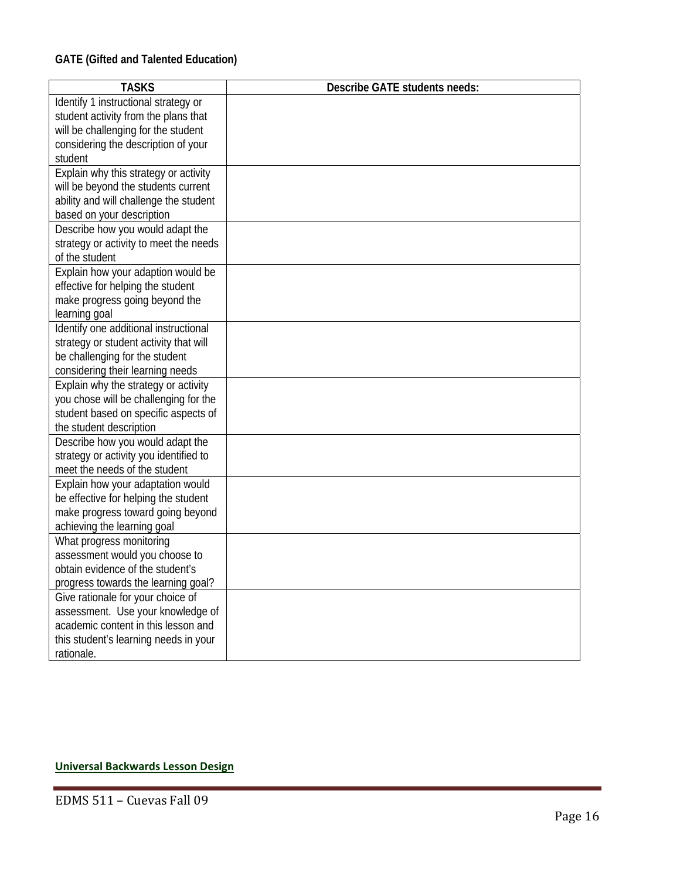| <b>TASKS</b>                                                                | <b>Describe GATE students needs:</b> |
|-----------------------------------------------------------------------------|--------------------------------------|
|                                                                             |                                      |
| Identify 1 instructional strategy or                                        |                                      |
| student activity from the plans that<br>will be challenging for the student |                                      |
| considering the description of your                                         |                                      |
| student                                                                     |                                      |
| Explain why this strategy or activity                                       |                                      |
| will be beyond the students current                                         |                                      |
| ability and will challenge the student                                      |                                      |
| based on your description                                                   |                                      |
| Describe how you would adapt the                                            |                                      |
| strategy or activity to meet the needs                                      |                                      |
| of the student                                                              |                                      |
| Explain how your adaption would be                                          |                                      |
| effective for helping the student                                           |                                      |
| make progress going beyond the                                              |                                      |
| learning goal                                                               |                                      |
| Identify one additional instructional                                       |                                      |
| strategy or student activity that will                                      |                                      |
| be challenging for the student                                              |                                      |
| considering their learning needs                                            |                                      |
| Explain why the strategy or activity                                        |                                      |
| you chose will be challenging for the                                       |                                      |
| student based on specific aspects of                                        |                                      |
| the student description                                                     |                                      |
| Describe how you would adapt the                                            |                                      |
| strategy or activity you identified to                                      |                                      |
| meet the needs of the student                                               |                                      |
| Explain how your adaptation would                                           |                                      |
| be effective for helping the student                                        |                                      |
| make progress toward going beyond                                           |                                      |
| achieving the learning goal                                                 |                                      |
| What progress monitoring                                                    |                                      |
| assessment would you choose to                                              |                                      |
| obtain evidence of the student's                                            |                                      |
| progress towards the learning goal?                                         |                                      |
| Give rationale for your choice of                                           |                                      |
| assessment. Use your knowledge of                                           |                                      |
| academic content in this lesson and                                         |                                      |
| this student's learning needs in your                                       |                                      |
| rationale.                                                                  |                                      |

#### **Universal Backwards Lesson Design**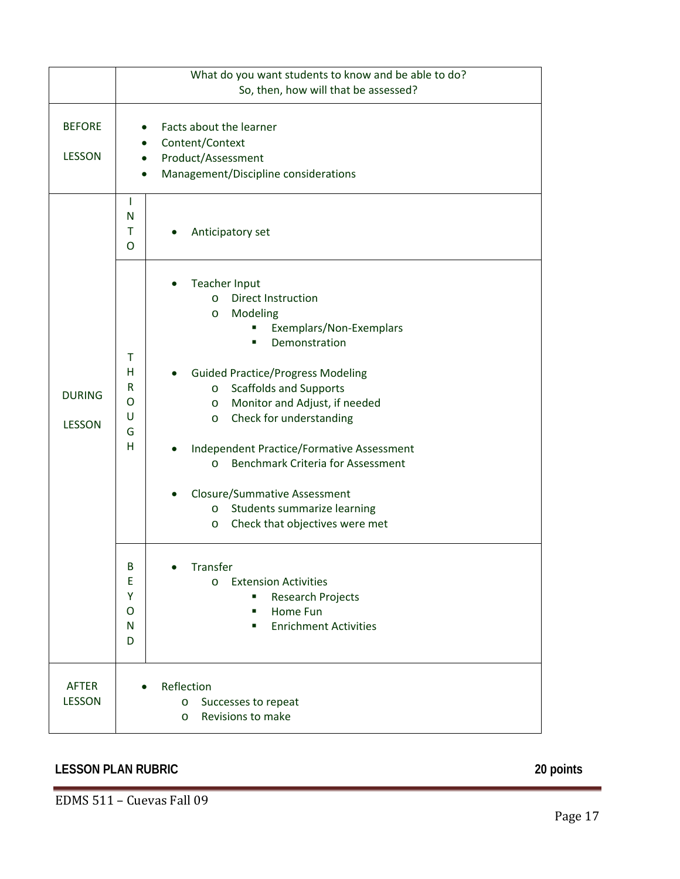|                                | What do you want students to know and be able to do?<br>So, then, how will that be assessed?                                                                                                                                                                                                                                                                                                                                                                                                                                                                                                                                                                                                                                                                   |  |  |
|--------------------------------|----------------------------------------------------------------------------------------------------------------------------------------------------------------------------------------------------------------------------------------------------------------------------------------------------------------------------------------------------------------------------------------------------------------------------------------------------------------------------------------------------------------------------------------------------------------------------------------------------------------------------------------------------------------------------------------------------------------------------------------------------------------|--|--|
| <b>BEFORE</b><br><b>LESSON</b> | Facts about the learner<br>Content/Context<br>Product/Assessment<br>Management/Discipline considerations                                                                                                                                                                                                                                                                                                                                                                                                                                                                                                                                                                                                                                                       |  |  |
|                                | $\mathbf{I}$<br>N<br>T<br>Anticipatory set<br>O                                                                                                                                                                                                                                                                                                                                                                                                                                                                                                                                                                                                                                                                                                                |  |  |
| <b>DURING</b><br><b>LESSON</b> | <b>Teacher Input</b><br><b>Direct Instruction</b><br>$\circ$<br>Modeling<br>$\circ$<br>Exemplars/Non-Exemplars<br>٠<br>Demonstration<br>٠<br>$\mathsf{T}$<br>H<br><b>Guided Practice/Progress Modeling</b><br>R<br><b>Scaffolds and Supports</b><br>$\circ$<br>O<br>Monitor and Adjust, if needed<br>$\circ$<br>U<br>Check for understanding<br>$\circ$<br>G<br>H<br>Independent Practice/Formative Assessment<br><b>Benchmark Criteria for Assessment</b><br>$\circ$<br><b>Closure/Summative Assessment</b><br>Students summarize learning<br>$\circ$<br>Check that objectives were met<br>O<br>B<br>Transfer<br>E<br><b>Extension Activities</b><br>$\circ$<br>Y<br><b>Research Projects</b><br>Home Fun<br>O<br><b>Enrichment Activities</b><br>N<br>٠<br>D |  |  |
| <b>AFTER</b><br><b>LESSON</b>  | Reflection<br>Successes to repeat<br>$\circ$<br>Revisions to make<br>$\circ$                                                                                                                                                                                                                                                                                                                                                                                                                                                                                                                                                                                                                                                                                   |  |  |

# **LESSON PLAN RUBRIC 20 points**

EDMS 511 – Cuevas Fall 09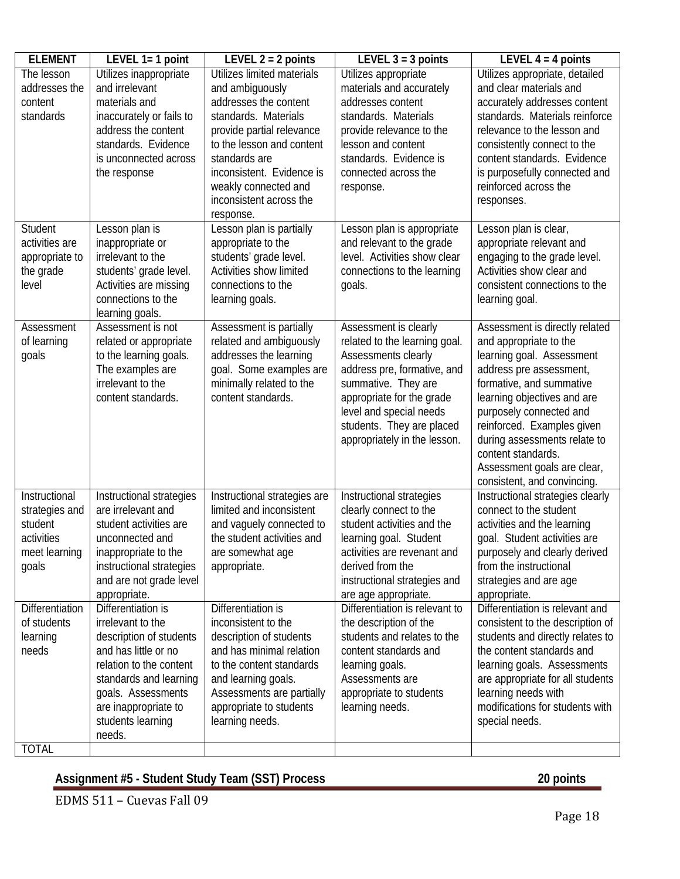| <b>ELEMENT</b>                                                                     | LEVEL $1=1$ point                                                                                                                                                                                                            | LEVEL $2 = 2$ points                                                                                                                                                                                                                                                   | LEVEL $3 = 3$ points                                                                                                                                                                                                                                     | LEVEL $4 = 4$ points                                                                                                                                                                                                                                                                                                                                     |
|------------------------------------------------------------------------------------|------------------------------------------------------------------------------------------------------------------------------------------------------------------------------------------------------------------------------|------------------------------------------------------------------------------------------------------------------------------------------------------------------------------------------------------------------------------------------------------------------------|----------------------------------------------------------------------------------------------------------------------------------------------------------------------------------------------------------------------------------------------------------|----------------------------------------------------------------------------------------------------------------------------------------------------------------------------------------------------------------------------------------------------------------------------------------------------------------------------------------------------------|
| The lesson<br>addresses the<br>content<br>standards                                | Utilizes inappropriate<br>and irrelevant<br>materials and<br>inaccurately or fails to<br>address the content<br>standards. Evidence<br>is unconnected across<br>the response                                                 | Utilizes limited materials<br>and ambiguously<br>addresses the content<br>standards. Materials<br>provide partial relevance<br>to the lesson and content<br>standards are<br>inconsistent. Evidence is<br>weakly connected and<br>inconsistent across the<br>response. | Utilizes appropriate<br>materials and accurately<br>addresses content<br>standards. Materials<br>provide relevance to the<br>lesson and content<br>standards. Evidence is<br>connected across the<br>response.                                           | Utilizes appropriate, detailed<br>and clear materials and<br>accurately addresses content<br>standards. Materials reinforce<br>relevance to the lesson and<br>consistently connect to the<br>content standards. Evidence<br>is purposefully connected and<br>reinforced across the<br>responses.                                                         |
| Student<br>activities are<br>appropriate to<br>the grade<br>level                  | Lesson plan is<br>inappropriate or<br>irrelevant to the<br>students' grade level.<br>Activities are missing<br>connections to the<br>learning goals.                                                                         | Lesson plan is partially<br>appropriate to the<br>students' grade level.<br>Activities show limited<br>connections to the<br>learning goals.                                                                                                                           | Lesson plan is appropriate<br>and relevant to the grade<br>level. Activities show clear<br>connections to the learning<br>goals.                                                                                                                         | Lesson plan is clear,<br>appropriate relevant and<br>engaging to the grade level.<br>Activities show clear and<br>consistent connections to the<br>learning goal.                                                                                                                                                                                        |
| Assessment<br>of learning<br>goals                                                 | Assessment is not<br>related or appropriate<br>to the learning goals.<br>The examples are<br>irrelevant to the<br>content standards.                                                                                         | Assessment is partially<br>related and ambiguously<br>addresses the learning<br>goal. Some examples are<br>minimally related to the<br>content standards.                                                                                                              | Assessment is clearly<br>related to the learning goal.<br>Assessments clearly<br>address pre, formative, and<br>summative. They are<br>appropriate for the grade<br>level and special needs<br>students. They are placed<br>appropriately in the lesson. | Assessment is directly related<br>and appropriate to the<br>learning goal. Assessment<br>address pre assessment,<br>formative, and summative<br>learning objectives and are<br>purposely connected and<br>reinforced. Examples given<br>during assessments relate to<br>content standards.<br>Assessment goals are clear,<br>consistent, and convincing. |
| Instructional<br>strategies and<br>student<br>activities<br>meet learning<br>goals | Instructional strategies<br>are irrelevant and<br>student activities are<br>unconnected and<br>inappropriate to the<br>instructional strategies<br>and are not grade level<br>appropriate.                                   | Instructional strategies are<br>limited and inconsistent<br>and vaguely connected to<br>the student activities and<br>are somewhat age<br>appropriate.                                                                                                                 | Instructional strategies<br>clearly connect to the<br>student activities and the<br>learning goal. Student<br>activities are revenant and<br>derived from the<br>instructional strategies and<br>are age appropriate.                                    | Instructional strategies clearly<br>connect to the student<br>activities and the learning<br>goal. Student activities are<br>purposely and clearly derived<br>from the instructional<br>strategies and are age<br>appropriate.                                                                                                                           |
| Differentiation<br>of students<br>learning<br>needs<br><b>TOTAL</b>                | Differentiation is<br>irrelevant to the<br>description of students<br>and has little or no<br>relation to the content<br>standards and learning<br>goals. Assessments<br>are inappropriate to<br>students learning<br>needs. | Differentiation is<br>inconsistent to the<br>description of students<br>and has minimal relation<br>to the content standards<br>and learning goals.<br>Assessments are partially<br>appropriate to students<br>learning needs.                                         | Differentiation is relevant to<br>the description of the<br>students and relates to the<br>content standards and<br>learning goals.<br>Assessments are<br>appropriate to students<br>learning needs.                                                     | Differentiation is relevant and<br>consistent to the description of<br>students and directly relates to<br>the content standards and<br>learning goals. Assessments<br>are appropriate for all students<br>learning needs with<br>modifications for students with<br>special needs.                                                                      |

# **Assignment #5 - Student Study Team (SST) Process 20 points**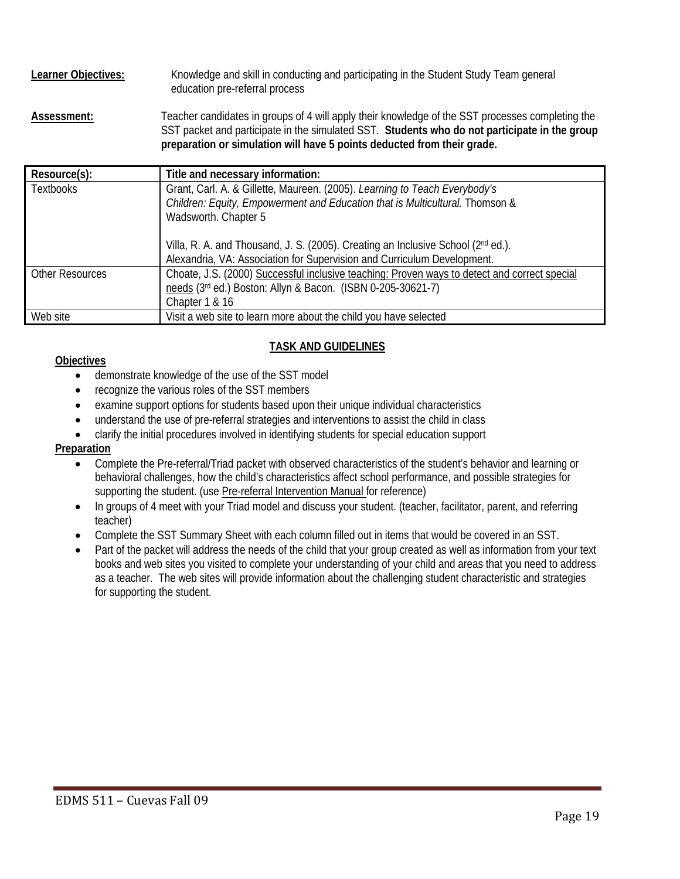Learner Objectives: Knowledge and skill in conducting and participating in the Student Study Team general education pre-referral process **Assessment:** Teacher candidates in groups of 4 will apply their knowledge of the SST processes completing the SST packet and participate in the simulated SST. **Students who do not participate in the group** 

| preparation or simulation will have 5 points deducted from their grade. |                                                                                              |  |  |
|-------------------------------------------------------------------------|----------------------------------------------------------------------------------------------|--|--|
| Resource(s):                                                            | Title and necessary information:                                                             |  |  |
| <b>Textbooks</b>                                                        | Grant, Carl. A. & Gillette, Maureen. (2005). Learning to Teach Everybody's                   |  |  |
|                                                                         | Children: Equity, Empowerment and Education that is Multicultural. Thomson &                 |  |  |
|                                                                         | Wadsworth. Chapter 5                                                                         |  |  |
|                                                                         |                                                                                              |  |  |
|                                                                         | Villa, R. A. and Thousand, J. S. (2005). Creating an Inclusive School (2nd ed.).             |  |  |
|                                                                         | Alexandria, VA: Association for Supervision and Curriculum Development.                      |  |  |
| <b>Other Resources</b>                                                  | Choate, J.S. (2000) Successful inclusive teaching: Proven ways to detect and correct special |  |  |
|                                                                         | needs (3rd ed.) Boston: Allyn & Bacon. (ISBN 0-205-30621-7)                                  |  |  |
|                                                                         | Chapter 1 & 16                                                                               |  |  |
| Web site                                                                | Visit a web site to learn more about the child you have selected                             |  |  |

#### **TASK AND GUIDELINES**

#### **Objectives**

- demonstrate knowledge of the use of the SST model
- recognize the various roles of the SST members
- examine support options for students based upon their unique individual characteristics
- understand the use of pre-referral strategies and interventions to assist the child in class
- clarify the initial procedures involved in identifying students for special education support

#### **Preparation**

- Complete the Pre-referral/Triad packet with observed characteristics of the student's behavior and learning or behavioral challenges, how the child's characteristics affect school performance, and possible strategies for supporting the student. (use Pre-referral Intervention Manual for reference)
- In groups of 4 meet with your Triad model and discuss your student. (teacher, facilitator, parent, and referring teacher)
- Complete the SST Summary Sheet with each column filled out in items that would be covered in an SST.
- Part of the packet will address the needs of the child that your group created as well as information from your text books and web sites you visited to complete your understanding of your child and areas that you need to address as a teacher. The web sites will provide information about the challenging student characteristic and strategies for supporting the student.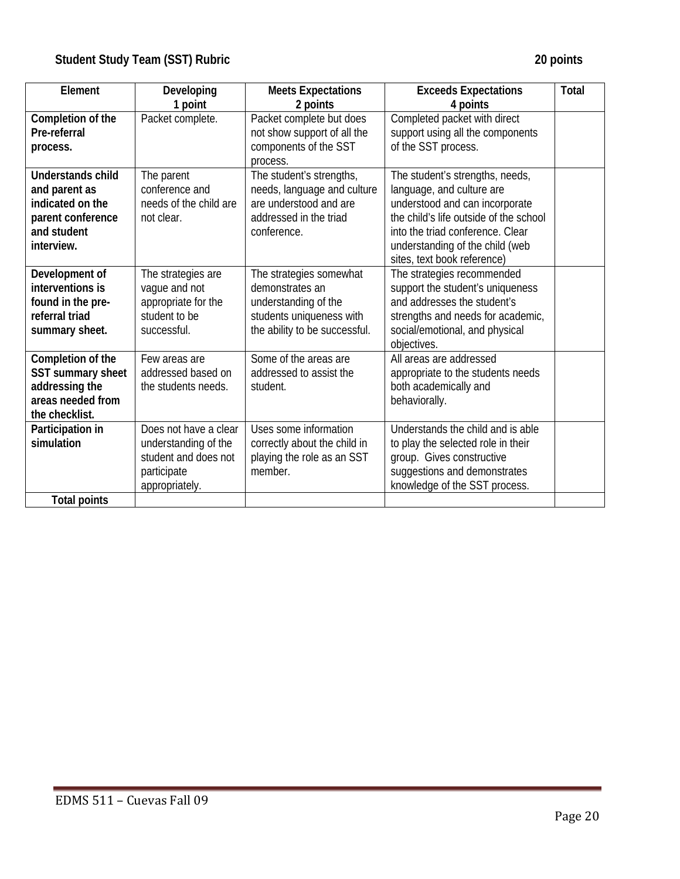| Element                                                                                                         | Developing                                                                                             | <b>Meets Expectations</b>                                                                                                       | <b>Exceeds Expectations</b>                                                                                                                                                                                        | <b>Total</b> |
|-----------------------------------------------------------------------------------------------------------------|--------------------------------------------------------------------------------------------------------|---------------------------------------------------------------------------------------------------------------------------------|--------------------------------------------------------------------------------------------------------------------------------------------------------------------------------------------------------------------|--------------|
|                                                                                                                 | 1 point                                                                                                | 2 points                                                                                                                        | 4 points                                                                                                                                                                                                           |              |
| Completion of the<br>Pre-referral<br>process.                                                                   | Packet complete.                                                                                       | Packet complete but does<br>not show support of all the<br>components of the SST                                                | Completed packet with direct<br>support using all the components<br>of the SST process.                                                                                                                            |              |
|                                                                                                                 |                                                                                                        | process.                                                                                                                        |                                                                                                                                                                                                                    |              |
| <b>Understands child</b><br>and parent as<br>indicated on the<br>parent conference<br>and student<br>interview. | The parent<br>conference and<br>needs of the child are<br>not clear.                                   | The student's strengths,<br>needs, language and culture<br>are understood and are<br>addressed in the triad<br>conference.      | The student's strengths, needs,<br>language, and culture are<br>understood and can incorporate<br>the child's life outside of the school<br>into the triad conference. Clear<br>understanding of the child (web    |              |
| Development of<br>interventions is<br>found in the pre-<br>referral triad<br>summary sheet.                     | The strategies are<br>vague and not<br>appropriate for the<br>student to be<br>successful.             | The strategies somewhat<br>demonstrates an<br>understanding of the<br>students uniqueness with<br>the ability to be successful. | sites, text book reference)<br>The strategies recommended<br>support the student's uniqueness<br>and addresses the student's<br>strengths and needs for academic,<br>social/emotional, and physical<br>objectives. |              |
| Completion of the<br>SST summary sheet<br>addressing the<br>areas needed from<br>the checklist.                 | Few areas are<br>addressed based on<br>the students needs.                                             | Some of the areas are<br>addressed to assist the<br>student.                                                                    | All areas are addressed<br>appropriate to the students needs<br>both academically and<br>behaviorally.                                                                                                             |              |
| Participation in<br>simulation<br><b>Total points</b>                                                           | Does not have a clear<br>understanding of the<br>student and does not<br>participate<br>appropriately. | Uses some information<br>correctly about the child in<br>playing the role as an SST<br>member.                                  | Understands the child and is able<br>to play the selected role in their<br>group. Gives constructive<br>suggestions and demonstrates<br>knowledge of the SST process.                                              |              |
|                                                                                                                 |                                                                                                        |                                                                                                                                 |                                                                                                                                                                                                                    |              |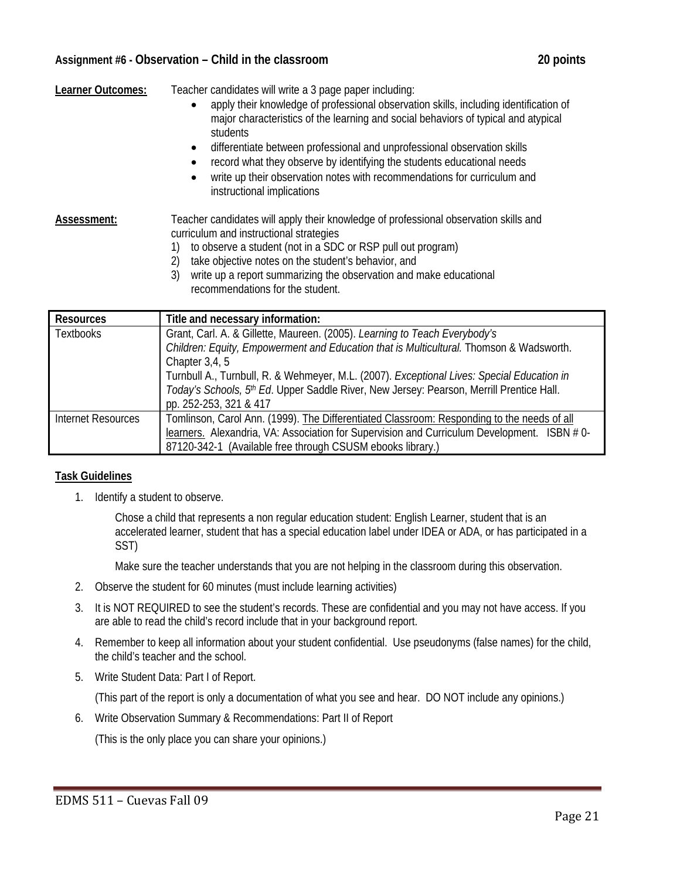#### **Assignment #6 - Observation – Child in the classroom 20 points**

| Learner Outcomes: | Teacher candidates will write a 3 page paper including:                                                                                                                                              |
|-------------------|------------------------------------------------------------------------------------------------------------------------------------------------------------------------------------------------------|
|                   | apply their knowledge of professional observation skills, including identification of<br>$\bullet$<br>major characteristics of the learning and social behaviors of typical and atypical<br>students |
|                   | differentiate between professional and unprofessional observation skills<br>$\bullet$                                                                                                                |
|                   | record what they observe by identifying the students educational needs<br>٠                                                                                                                          |
|                   | write up their observation notes with recommendations for curriculum and<br>٠<br>instructional implications                                                                                          |
| Assessment:       | Teacher candidates will apply their knowledge of professional observation skills and<br>curriculum and instructional strategies                                                                      |
|                   | to observe a student (not in a SDC or RSP pull out program)                                                                                                                                          |
|                   | take objective notes on the student's behavior, and<br>2)                                                                                                                                            |
|                   | 3)<br>write up a report summarizing the observation and make educational<br>recommendations for the student.                                                                                         |

| <b>Resources</b>   | Title and necessary information:                                                           |  |
|--------------------|--------------------------------------------------------------------------------------------|--|
| <b>Textbooks</b>   | Grant, Carl. A. & Gillette, Maureen. (2005). Learning to Teach Everybody's                 |  |
|                    | Children: Equity, Empowerment and Education that is Multicultural. Thomson & Wadsworth.    |  |
|                    | Chapter 3,4, 5                                                                             |  |
|                    | Turnbull A., Turnbull, R. & Wehmeyer, M.L. (2007). Exceptional Lives: Special Education in |  |
|                    | Today's Schools, 5th Ed. Upper Saddle River, New Jersey: Pearson, Merrill Prentice Hall.   |  |
|                    | pp. 252-253, 321 & 417                                                                     |  |
| Internet Resources | Tomlinson, Carol Ann. (1999). The Differentiated Classroom: Responding to the needs of all |  |
|                    | learners. Alexandria, VA: Association for Supervision and Curriculum Development. ISBN #0- |  |
|                    | 87120-342-1 (Available free through CSUSM ebooks library.)                                 |  |

### **Task Guidelines**

1. Identify a student to observe.

Chose a child that represents a non regular education student: English Learner, student that is an accelerated learner, student that has a special education label under IDEA or ADA, or has participated in a SST)

Make sure the teacher understands that you are not helping in the classroom during this observation.

- 2. Observe the student for 60 minutes (must include learning activities)
- 3. It is NOT REQUIRED to see the student's records. These are confidential and you may not have access. If you are able to read the child's record include that in your background report.
- 4. Remember to keep all information about your student confidential. Use pseudonyms (false names) for the child, the child's teacher and the school.
- 5. Write Student Data: Part I of Report.

(This part of the report is only a documentation of what you see and hear. DO NOT include any opinions.)

6. Write Observation Summary & Recommendations: Part II of Report

(This is the only place you can share your opinions.)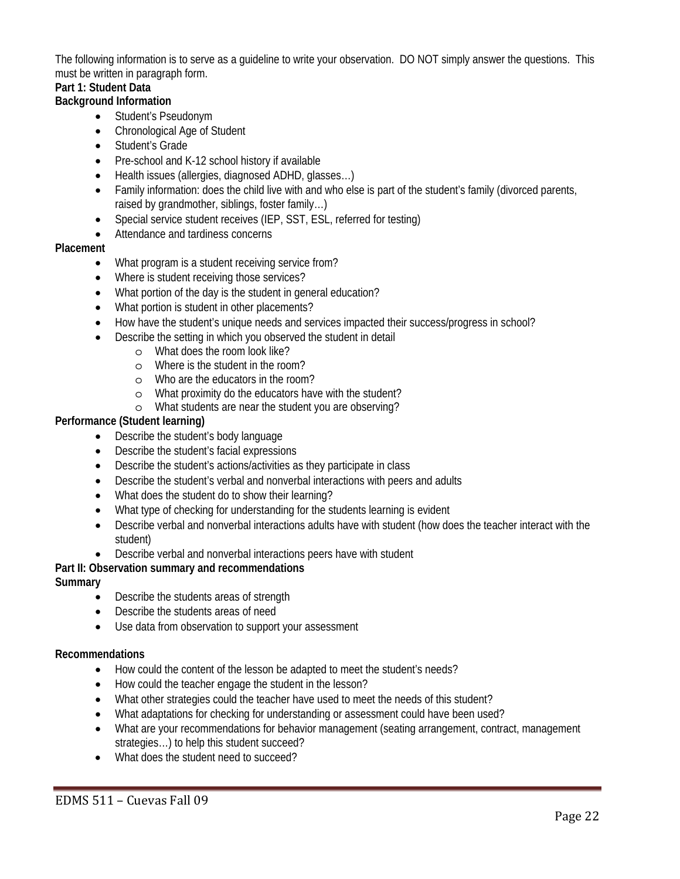The following information is to serve as a guideline to write your observation. DO NOT simply answer the questions. This must be written in paragraph form.

# **Part 1: Student Data**

#### **Background Information**

- Student's Pseudonym
- Chronological Age of Student
- Student's Grade
- Pre-school and K-12 school history if available
- Health issues (allergies, diagnosed ADHD, glasses...)
- Family information: does the child live with and who else is part of the student's family (divorced parents, raised by grandmother, siblings, foster family…)
- Special service student receives (IEP, SST, ESL, referred for testing)
- Attendance and tardiness concerns

#### **Placement**

- What program is a student receiving service from?
- Where is student receiving those services?
- What portion of the day is the student in general education?
- What portion is student in other placements?
- How have the student's unique needs and services impacted their success/progress in school?
- Describe the setting in which you observed the student in detail
	- o What does the room look like?
	- o Where is the student in the room?
	- o Who are the educators in the room?
	- o What proximity do the educators have with the student?
	- o What students are near the student you are observing?

#### **Performance (Student learning)**

- Describe the student's body language
- Describe the student's facial expressions
- Describe the student's actions/activities as they participate in class
- Describe the student's verbal and nonverbal interactions with peers and adults
- What does the student do to show their learning?
- What type of checking for understanding for the students learning is evident
- Describe verbal and nonverbal interactions adults have with student (how does the teacher interact with the student)
- Describe verbal and nonverbal interactions peers have with student

#### **Part II: Observation summary and recommendations**

#### **Summary**

- Describe the students areas of strength
- Describe the students areas of need
- Use data from observation to support your assessment

#### **Recommendations**

- How could the content of the lesson be adapted to meet the student's needs?
- How could the teacher engage the student in the lesson?
- What other strategies could the teacher have used to meet the needs of this student?
- What adaptations for checking for understanding or assessment could have been used?
- strategies…) to help this student succeed? What are your recommendations for behavior management (seating arrangement, contract, management
- What does the student need to succeed?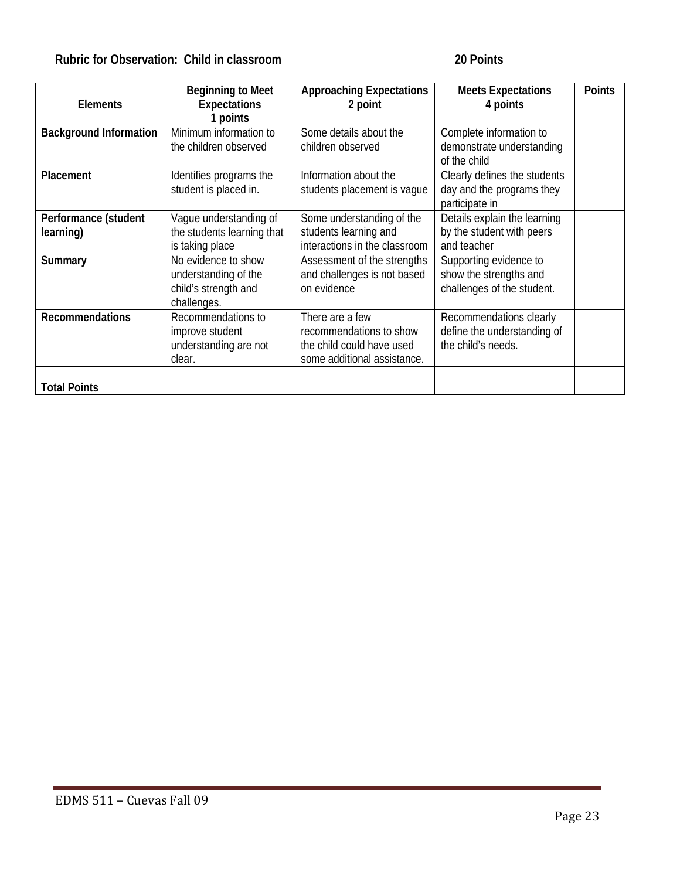# **Rubric for Observation: Child in classroom 20 Points**

|                               | <b>Beginning to Meet</b>   | <b>Approaching Expectations</b> | <b>Meets Expectations</b>    | <b>Points</b> |
|-------------------------------|----------------------------|---------------------------------|------------------------------|---------------|
| <b>Elements</b>               | <b>Expectations</b>        | 2 point                         | 4 points                     |               |
|                               | points                     |                                 |                              |               |
| <b>Background Information</b> | Minimum information to     | Some details about the          | Complete information to      |               |
|                               | the children observed      | children observed               | demonstrate understanding    |               |
|                               |                            |                                 | of the child                 |               |
| <b>Placement</b>              | Identifies programs the    | Information about the           | Clearly defines the students |               |
|                               | student is placed in.      | students placement is vaque     | day and the programs they    |               |
|                               |                            |                                 | participate in               |               |
| Performance (student          | Vaque understanding of     | Some understanding of the       | Details explain the learning |               |
| learning)                     | the students learning that | students learning and           | by the student with peers    |               |
|                               | is taking place            | interactions in the classroom   | and teacher                  |               |
| Summary                       | No evidence to show        | Assessment of the strengths     | Supporting evidence to       |               |
|                               | understanding of the       | and challenges is not based     | show the strengths and       |               |
|                               | child's strength and       | on evidence                     | challenges of the student.   |               |
|                               | challenges.                |                                 |                              |               |
| <b>Recommendations</b>        | Recommendations to         | There are a few                 | Recommendations clearly      |               |
|                               | improve student            | recommendations to show         | define the understanding of  |               |
|                               | understanding are not      | the child could have used       | the child's needs.           |               |
|                               | clear.                     | some additional assistance.     |                              |               |
|                               |                            |                                 |                              |               |
| <b>Total Points</b>           |                            |                                 |                              |               |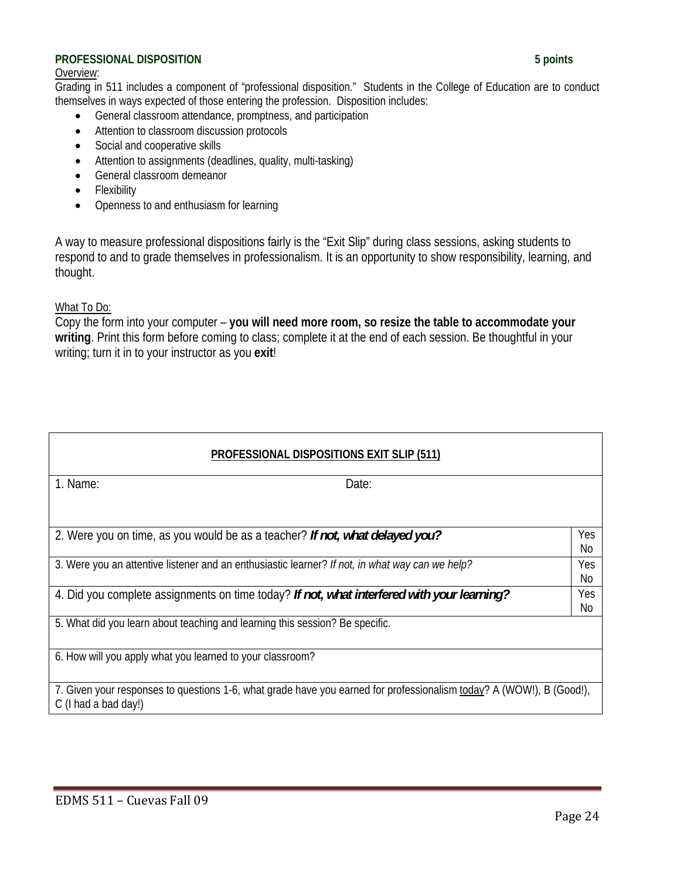#### **PROFESSIONAL DISPOSITION 5 points**

#### Overview:

 Grading in 511 includes a component of "professional disposition." Students in the College of Education are to conduct themselves in ways expected of those entering the profession. Disposition includes:

- General classroom attendance, promptness, and participation
- Attention to classroom discussion protocols
- Social and cooperative skills
- Attention to assignments (deadlines, quality, multi-tasking)
- General classroom demeanor
- Flexibility
- Openness to and enthusiasm for learning

A way to measure professional dispositions fairly is the "Exit Slip" during class sessions, asking students to respond to and to grade themselves in professionalism. It is an opportunity to show responsibility, learning, and thought.

#### What To Do:

Copy the form into your computer – **you will need more room, so resize the table to accommodate your writing**. Print this form before coming to class; complete it at the end of each session. Be thoughtful in your writing; turn it in to your instructor as you **exit**!

| <b>PROFESSIONAL DISPOSITIONS EXIT SLIP (511)</b>                                                                                             |           |  |  |
|----------------------------------------------------------------------------------------------------------------------------------------------|-----------|--|--|
| 1. Name:<br>Date:                                                                                                                            |           |  |  |
|                                                                                                                                              |           |  |  |
| 2. Were you on time, as you would be as a teacher? If not, what delayed you?                                                                 | Yes<br>No |  |  |
| 3. Were you an attentive listener and an enthusiastic learner? If not, in what way can we help?                                              | Yes<br>No |  |  |
| 4. Did you complete assignments on time today? If not, what interfered with your learning?                                                   | Yes<br>No |  |  |
| 5. What did you learn about teaching and learning this session? Be specific.                                                                 |           |  |  |
| 6. How will you apply what you learned to your classroom?                                                                                    |           |  |  |
| 7. Given your responses to questions 1-6, what grade have you earned for professionalism today? A (WOW!), B (Good!),<br>C (I had a bad day!) |           |  |  |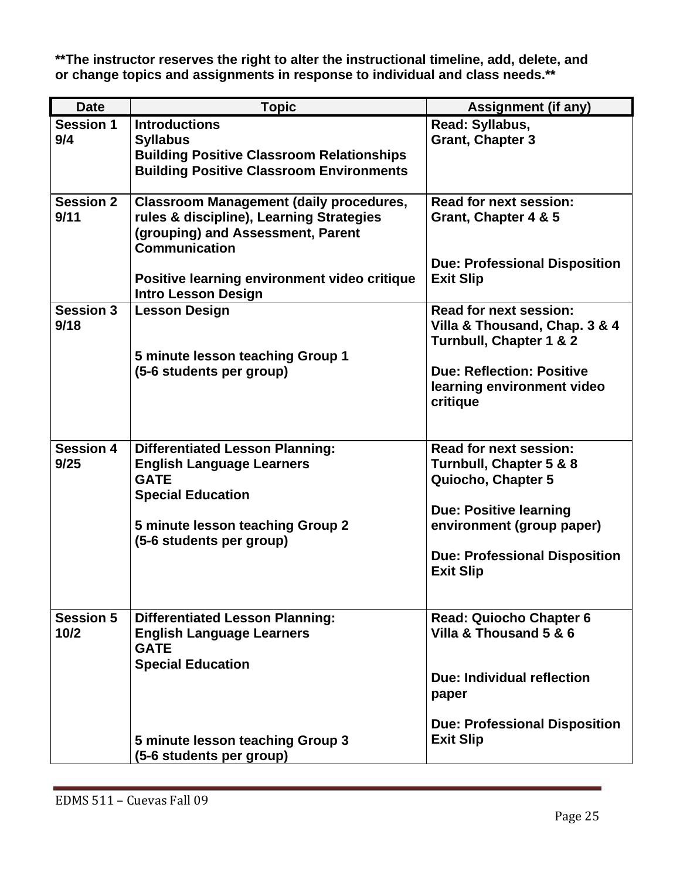**\*\*The instructor reserves the right to alter the instructional timeline, add, delete, and or change topics and assignments in response to individual and class needs.\*\*** 

| <b>Date</b>              | <b>Topic</b>                                                                                                                                                                                                                          | <b>Assignment (if any)</b>                                                                                                                                                                               |
|--------------------------|---------------------------------------------------------------------------------------------------------------------------------------------------------------------------------------------------------------------------------------|----------------------------------------------------------------------------------------------------------------------------------------------------------------------------------------------------------|
| <b>Session 1</b><br>9/4  | <b>Introductions</b><br><b>Syllabus</b><br><b>Building Positive Classroom Relationships</b><br><b>Building Positive Classroom Environments</b>                                                                                        | Read: Syllabus,<br><b>Grant, Chapter 3</b>                                                                                                                                                               |
| <b>Session 2</b><br>9/11 | <b>Classroom Management (daily procedures,</b><br>rules & discipline), Learning Strategies<br>(grouping) and Assessment, Parent<br><b>Communication</b><br>Positive learning environment video critique<br><b>Intro Lesson Design</b> | <b>Read for next session:</b><br>Grant, Chapter 4 & 5<br><b>Due: Professional Disposition</b><br><b>Exit Slip</b>                                                                                        |
| <b>Session 3</b><br>9/18 | <b>Lesson Design</b><br>5 minute lesson teaching Group 1<br>(5-6 students per group)                                                                                                                                                  | <b>Read for next session:</b><br>Villa & Thousand, Chap. 3 & 4<br>Turnbull, Chapter 1 & 2<br><b>Due: Reflection: Positive</b><br>learning environment video<br>critique                                  |
| <b>Session 4</b><br>9/25 | <b>Differentiated Lesson Planning:</b><br><b>English Language Learners</b><br><b>GATE</b><br><b>Special Education</b><br>5 minute lesson teaching Group 2<br>(5-6 students per group)                                                 | <b>Read for next session:</b><br>Turnbull, Chapter 5 & 8<br>Quiocho, Chapter 5<br><b>Due: Positive learning</b><br>environment (group paper)<br><b>Due: Professional Disposition</b><br><b>Exit Slip</b> |
| <b>Session 5</b><br>10/2 | <b>Differentiated Lesson Planning:</b><br><b>English Language Learners</b><br><b>GATE</b><br><b>Special Education</b><br>5 minute lesson teaching Group 3<br>(5-6 students per group)                                                 | <b>Read: Quiocho Chapter 6</b><br>Villa & Thousand 5 & 6<br>Due: Individual reflection<br>paper<br><b>Due: Professional Disposition</b><br><b>Exit Slip</b>                                              |